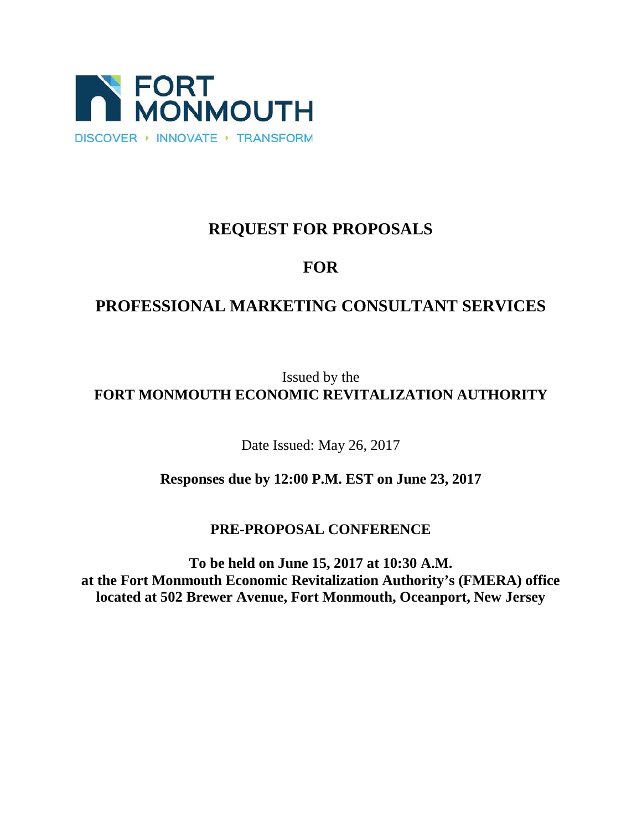

# **REQUEST FOR PROPOSALS**

# **FOR**

# **PROFESSIONAL MARKETING CONSULTANT SERVICES**

Issued by the **FORT MONMOUTH ECONOMIC REVITALIZATION AUTHORITY**

Date Issued: May 26, 2017

**Responses due by 12:00 P.M. EST on June 23, 2017**

# **PRE-PROPOSAL CONFERENCE**

**To be held on June 15, 2017 at 10:30 A.M. at the Fort Monmouth Economic Revitalization Authority's (FMERA) office located at 502 Brewer Avenue, Fort Monmouth, Oceanport, New Jersey**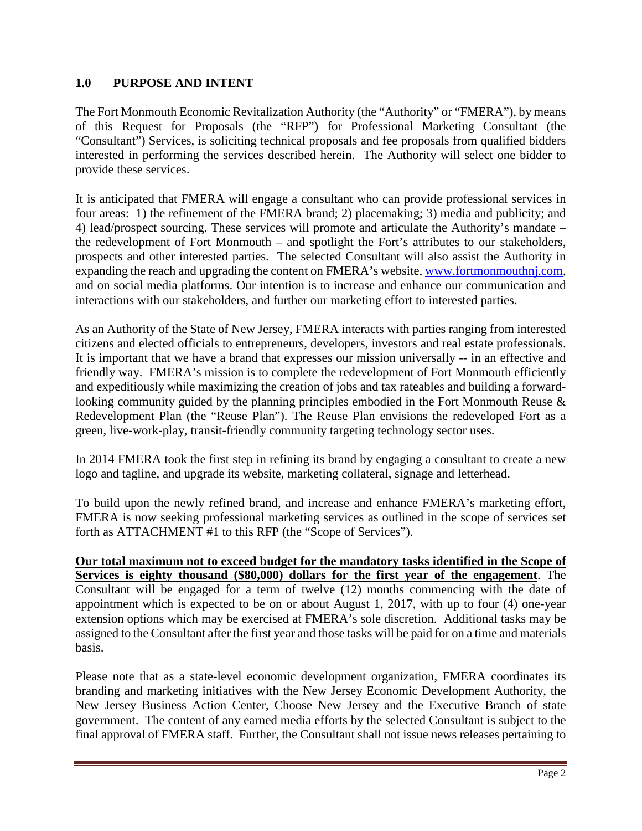# **1.0 PURPOSE AND INTENT**

The Fort Monmouth Economic Revitalization Authority (the "Authority" or "FMERA"), by means of this Request for Proposals (the "RFP") for Professional Marketing Consultant (the "Consultant") Services, is soliciting technical proposals and fee proposals from qualified bidders interested in performing the services described herein. The Authority will select one bidder to provide these services.

It is anticipated that FMERA will engage a consultant who can provide professional services in four areas: 1) the refinement of the FMERA brand; 2) placemaking; 3) media and publicity; and 4) lead/prospect sourcing. These services will promote and articulate the Authority's mandate – the redevelopment of Fort Monmouth – and spotlight the Fort's attributes to our stakeholders, prospects and other interested parties. The selected Consultant will also assist the Authority in expanding the reach and upgrading the content on FMERA's website[, www.fortmonmouthnj.com,](http://www.fortmonmouthnj.com/) and on social media platforms. Our intention is to increase and enhance our communication and interactions with our stakeholders, and further our marketing effort to interested parties.

As an Authority of the State of New Jersey, FMERA interacts with parties ranging from interested citizens and elected officials to entrepreneurs, developers, investors and real estate professionals. It is important that we have a brand that expresses our mission universally -- in an effective and friendly way. FMERA's mission is to complete the redevelopment of Fort Monmouth efficiently and expeditiously while maximizing the creation of jobs and tax rateables and building a forwardlooking community guided by the planning principles embodied in the Fort Monmouth Reuse & Redevelopment Plan (the "Reuse Plan"). The Reuse Plan envisions the redeveloped Fort as a green, live-work-play, transit-friendly community targeting technology sector uses.

In 2014 FMERA took the first step in refining its brand by engaging a consultant to create a new logo and tagline, and upgrade its website, marketing collateral, signage and letterhead.

To build upon the newly refined brand, and increase and enhance FMERA's marketing effort, FMERA is now seeking professional marketing services as outlined in the scope of services set forth as ATTACHMENT #1 to this RFP (the "Scope of Services").

**Our total maximum not to exceed budget for the mandatory tasks identified in the Scope of Services is eighty thousand (\$80,000) dollars for the first year of the engagement**. The Consultant will be engaged for a term of twelve (12) months commencing with the date of appointment which is expected to be on or about August 1, 2017, with up to four (4) one-year extension options which may be exercised at FMERA's sole discretion. Additional tasks may be assigned to the Consultant after the first year and those tasks will be paid for on a time and materials basis.

Please note that as a state-level economic development organization, FMERA coordinates its branding and marketing initiatives with the New Jersey Economic Development Authority, the New Jersey Business Action Center, Choose New Jersey and the Executive Branch of state government. The content of any earned media efforts by the selected Consultant is subject to the final approval of FMERA staff. Further, the Consultant shall not issue news releases pertaining to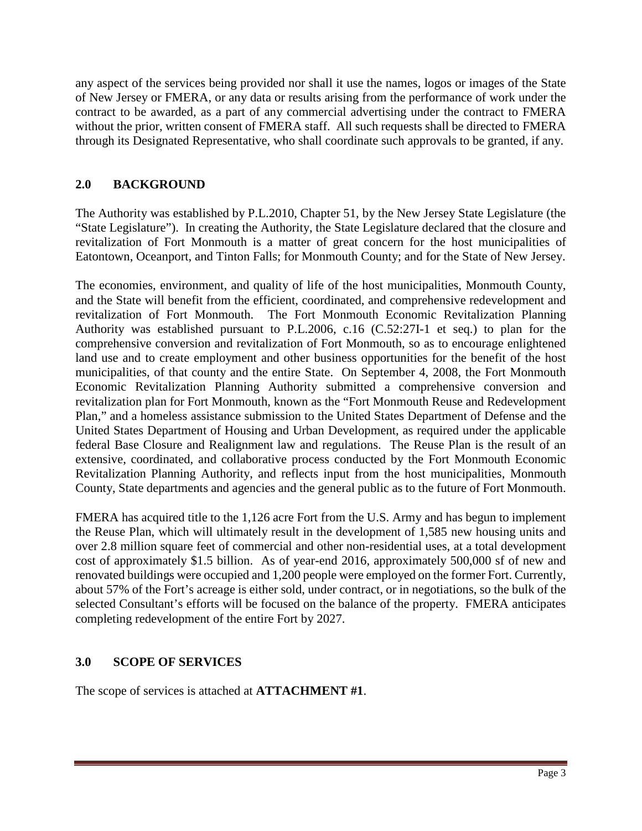any aspect of the services being provided nor shall it use the names, logos or images of the State of New Jersey or FMERA, or any data or results arising from the performance of work under the contract to be awarded, as a part of any commercial advertising under the contract to FMERA without the prior, written consent of FMERA staff. All such requests shall be directed to FMERA through its Designated Representative, who shall coordinate such approvals to be granted, if any.

# **2.0 BACKGROUND**

The Authority was established by P.L.2010, Chapter 51, by the New Jersey State Legislature (the "State Legislature"). In creating the Authority, the State Legislature declared that the closure and revitalization of Fort Monmouth is a matter of great concern for the host municipalities of Eatontown, Oceanport, and Tinton Falls; for Monmouth County; and for the State of New Jersey.

The economies, environment, and quality of life of the host municipalities, Monmouth County, and the State will benefit from the efficient, coordinated, and comprehensive redevelopment and revitalization of Fort Monmouth. The Fort Monmouth Economic Revitalization Planning Authority was established pursuant to P.L.2006, c.16 (C.52:27I-1 et seq.) to plan for the comprehensive conversion and revitalization of Fort Monmouth, so as to encourage enlightened land use and to create employment and other business opportunities for the benefit of the host municipalities, of that county and the entire State. On September 4, 2008, the Fort Monmouth Economic Revitalization Planning Authority submitted a comprehensive conversion and revitalization plan for Fort Monmouth, known as the "Fort Monmouth Reuse and Redevelopment Plan," and a homeless assistance submission to the United States Department of Defense and the United States Department of Housing and Urban Development, as required under the applicable federal Base Closure and Realignment law and regulations. The Reuse Plan is the result of an extensive, coordinated, and collaborative process conducted by the Fort Monmouth Economic Revitalization Planning Authority, and reflects input from the host municipalities, Monmouth County, State departments and agencies and the general public as to the future of Fort Monmouth.

FMERA has acquired title to the 1,126 acre Fort from the U.S. Army and has begun to implement the Reuse Plan, which will ultimately result in the development of 1,585 new housing units and over 2.8 million square feet of commercial and other non-residential uses, at a total development cost of approximately \$1.5 billion. As of year-end 2016, approximately 500,000 sf of new and renovated buildings were occupied and 1,200 people were employed on the former Fort. Currently, about 57% of the Fort's acreage is either sold, under contract, or in negotiations, so the bulk of the selected Consultant's efforts will be focused on the balance of the property. FMERA anticipates completing redevelopment of the entire Fort by 2027.

# **3.0 SCOPE OF SERVICES**

The scope of services is attached at **ATTACHMENT #1**.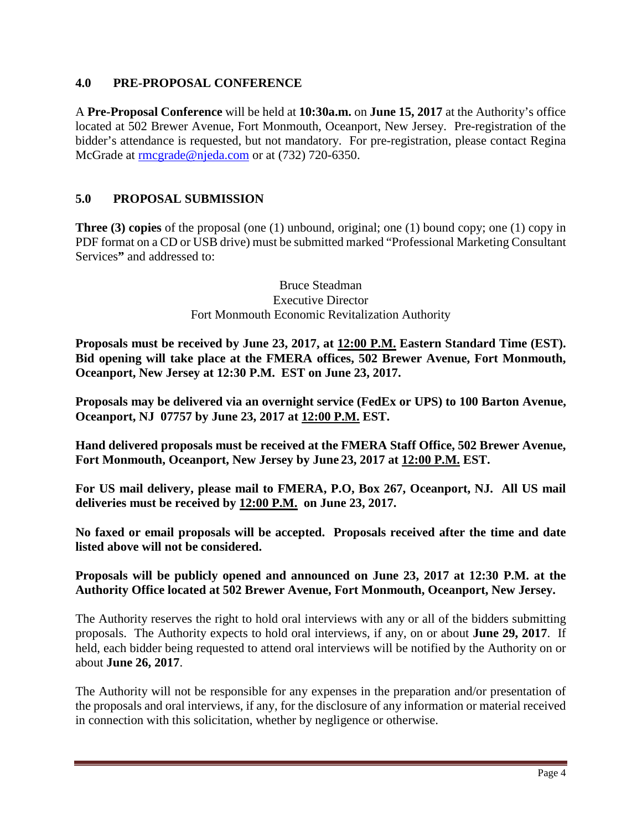#### **4.0 PRE-PROPOSAL CONFERENCE**

A **Pre-Proposal Conference** will be held at **10:30a.m.** on **June 15, 2017** at the Authority's office located at 502 Brewer Avenue, Fort Monmouth, Oceanport, New Jersey. Pre-registration of the bidder's attendance is requested, but not mandatory. For pre-registration, please contact Regina McGrade at [rmcgrade@njeda.com](mailto:rmcgrade@njeda.com) or at (732) 720-6350.

# **5.0 PROPOSAL SUBMISSION**

**Three (3) copies** of the proposal (one (1) unbound, original; one (1) bound copy; one (1) copy in PDF format on a CD or USB drive) must be submitted marked "Professional Marketing Consultant Services**"** and addressed to:

> Bruce Steadman Executive Director Fort Monmouth Economic Revitalization Authority

**Proposals must be received by June 23, 2017, at 12:00 P.M. Eastern Standard Time (EST). Bid opening will take place at the FMERA offices, 502 Brewer Avenue, Fort Monmouth, Oceanport, New Jersey at 12:30 P.M. EST on June 23, 2017.**

**Proposals may be delivered via an overnight service (FedEx or UPS) to 100 Barton Avenue, Oceanport, NJ 07757 by June 23, 2017 at 12:00 P.M. EST.**

**Hand delivered proposals must be received at the FMERA Staff Office, 502 Brewer Avenue, Fort Monmouth, Oceanport, New Jersey by June 23, 2017 at 12:00 P.M. EST.** 

**For US mail delivery, please mail to FMERA, P.O, Box 267, Oceanport, NJ. All US mail deliveries must be received by 12:00 P.M. on June 23, 2017.**

**No faxed or email proposals will be accepted. Proposals received after the time and date listed above will not be considered.** 

#### **Proposals will be publicly opened and announced on June 23, 2017 at 12:30 P.M. at the Authority Office located at 502 Brewer Avenue, Fort Monmouth, Oceanport, New Jersey.**

The Authority reserves the right to hold oral interviews with any or all of the bidders submitting proposals. The Authority expects to hold oral interviews, if any, on or about **June 29, 2017**. If held, each bidder being requested to attend oral interviews will be notified by the Authority on or about **June 26, 2017**.

The Authority will not be responsible for any expenses in the preparation and/or presentation of the proposals and oral interviews, if any, for the disclosure of any information or material received in connection with this solicitation, whether by negligence or otherwise.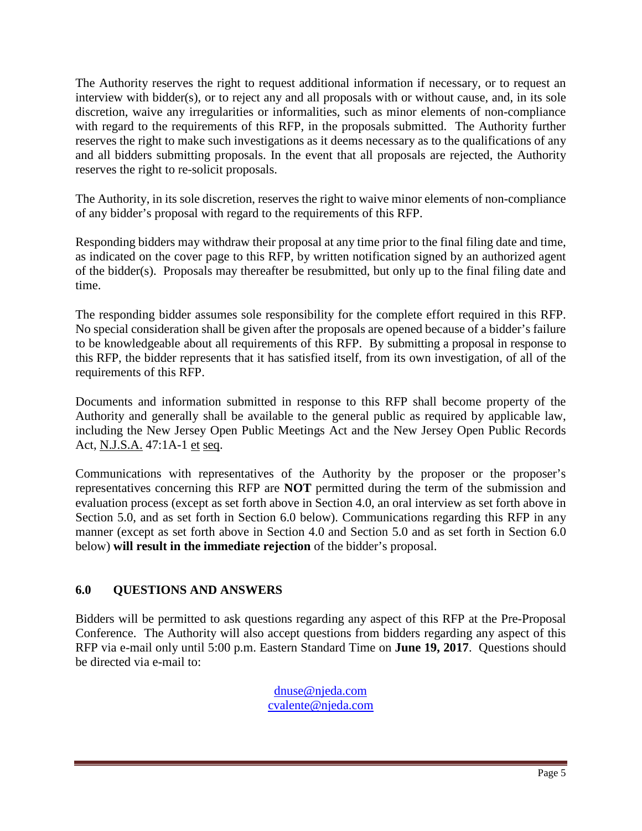The Authority reserves the right to request additional information if necessary, or to request an interview with bidder(s), or to reject any and all proposals with or without cause, and, in its sole discretion, waive any irregularities or informalities, such as minor elements of non-compliance with regard to the requirements of this RFP, in the proposals submitted. The Authority further reserves the right to make such investigations as it deems necessary as to the qualifications of any and all bidders submitting proposals. In the event that all proposals are rejected, the Authority reserves the right to re-solicit proposals.

The Authority, in its sole discretion, reserves the right to waive minor elements of non-compliance of any bidder's proposal with regard to the requirements of this RFP.

Responding bidders may withdraw their proposal at any time prior to the final filing date and time, as indicated on the cover page to this RFP, by written notification signed by an authorized agent of the bidder(s). Proposals may thereafter be resubmitted, but only up to the final filing date and time.

The responding bidder assumes sole responsibility for the complete effort required in this RFP. No special consideration shall be given after the proposals are opened because of a bidder's failure to be knowledgeable about all requirements of this RFP. By submitting a proposal in response to this RFP, the bidder represents that it has satisfied itself, from its own investigation, of all of the requirements of this RFP.

Documents and information submitted in response to this RFP shall become property of the Authority and generally shall be available to the general public as required by applicable law, including the New Jersey Open Public Meetings Act and the New Jersey Open Public Records Act, N.J.S.A. 47:1A-1 et seq.

Communications with representatives of the Authority by the proposer or the proposer's representatives concerning this RFP are **NOT** permitted during the term of the submission and evaluation process (except as set forth above in Section 4.0, an oral interview as set forth above in Section 5.0, and as set forth in Section 6.0 below). Communications regarding this RFP in any manner (except as set forth above in Section 4.0 and Section 5.0 and as set forth in Section 6.0 below) **will result in the immediate rejection** of the bidder's proposal.

# **6.0 QUESTIONS AND ANSWERS**

Bidders will be permitted to ask questions regarding any aspect of this RFP at the Pre-Proposal Conference. The Authority will also accept questions from bidders regarding any aspect of this RFP via e-mail only until 5:00 p.m. Eastern Standard Time on **June 19, 2017**. Questions should be directed via e-mail to:

> [dnuse@njeda.com](mailto:dnuse@njeda.com) [cvalente@njeda.com](mailto:cvalente@njeda.com)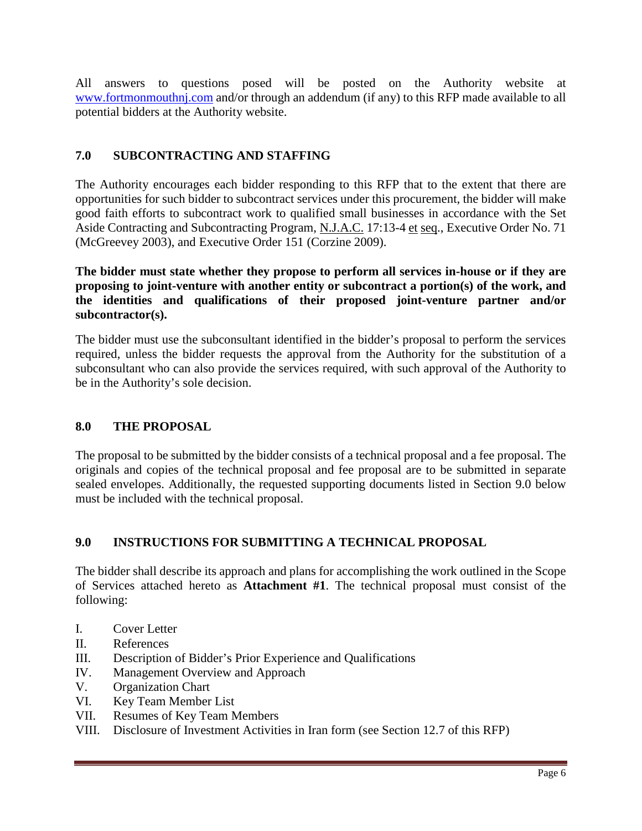All answers to questions posed will be posted on the Authority website at [www.fortmonmouthnj.com](http://www.fortmonmouthnj.com/) and/or through an addendum (if any) to this RFP made available to all potential bidders at the Authority website.

# **7.0 SUBCONTRACTING AND STAFFING**

The Authority encourages each bidder responding to this RFP that to the extent that there are opportunities for such bidder to subcontract services under this procurement, the bidder will make good faith efforts to subcontract work to qualified small businesses in accordance with the Set Aside Contracting and Subcontracting Program, N.J.A.C. 17:13-4 et seq., Executive Order No. 71 (McGreevey 2003), and Executive Order 151 (Corzine 2009).

**The bidder must state whether they propose to perform all services in-house or if they are proposing to joint-venture with another entity or subcontract a portion(s) of the work, and the identities and qualifications of their proposed joint-venture partner and/or subcontractor(s).** 

The bidder must use the subconsultant identified in the bidder's proposal to perform the services required, unless the bidder requests the approval from the Authority for the substitution of a subconsultant who can also provide the services required, with such approval of the Authority to be in the Authority's sole decision.

# **8.0 THE PROPOSAL**

The proposal to be submitted by the bidder consists of a technical proposal and a fee proposal. The originals and copies of the technical proposal and fee proposal are to be submitted in separate sealed envelopes. Additionally, the requested supporting documents listed in Section 9.0 below must be included with the technical proposal.

# **9.0 INSTRUCTIONS FOR SUBMITTING A TECHNICAL PROPOSAL**

The bidder shall describe its approach and plans for accomplishing the work outlined in the Scope of Services attached hereto as **Attachment #1**. The technical proposal must consist of the following:

- I. Cover Letter
- II. References
- III. Description of Bidder's Prior Experience and Qualifications
- IV. Management Overview and Approach
- V. Organization Chart
- VI. Key Team Member List
- VII. Resumes of Key Team Members
- VIII. Disclosure of Investment Activities in Iran form (see Section 12.7 of this RFP)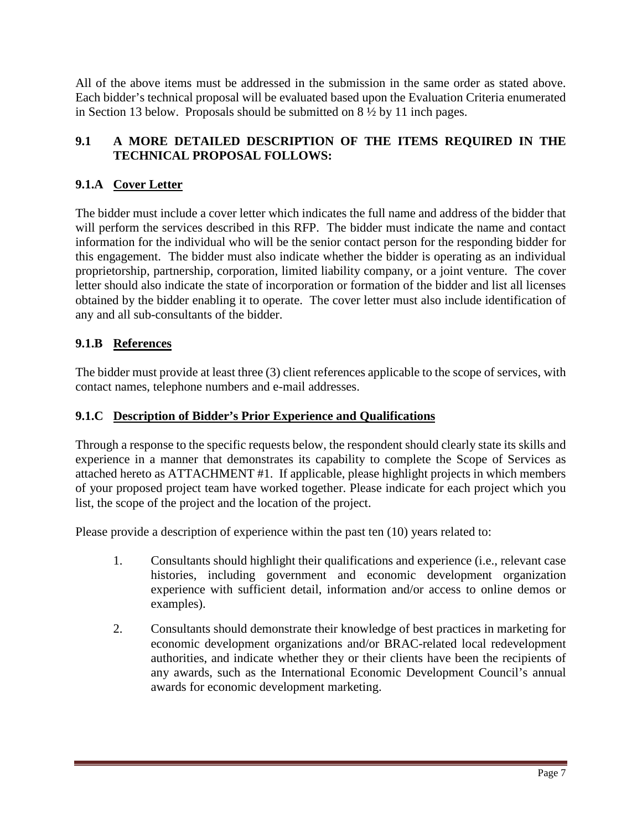All of the above items must be addressed in the submission in the same order as stated above. Each bidder's technical proposal will be evaluated based upon the Evaluation Criteria enumerated in Section 13 below. Proposals should be submitted on 8 ½ by 11 inch pages.

# **9.1 A MORE DETAILED DESCRIPTION OF THE ITEMS REQUIRED IN THE TECHNICAL PROPOSAL FOLLOWS:**

# **9.1.A Cover Letter**

The bidder must include a cover letter which indicates the full name and address of the bidder that will perform the services described in this RFP. The bidder must indicate the name and contact information for the individual who will be the senior contact person for the responding bidder for this engagement. The bidder must also indicate whether the bidder is operating as an individual proprietorship, partnership, corporation, limited liability company, or a joint venture. The cover letter should also indicate the state of incorporation or formation of the bidder and list all licenses obtained by the bidder enabling it to operate. The cover letter must also include identification of any and all sub-consultants of the bidder.

# **9.1.B References**

The bidder must provide at least three (3) client references applicable to the scope of services, with contact names, telephone numbers and e-mail addresses.

# **9.1.C Description of Bidder's Prior Experience and Qualifications**

Through a response to the specific requests below, the respondent should clearly state its skills and experience in a manner that demonstrates its capability to complete the Scope of Services as attached hereto as ATTACHMENT #1. If applicable, please highlight projects in which members of your proposed project team have worked together. Please indicate for each project which you list, the scope of the project and the location of the project.

Please provide a description of experience within the past ten (10) years related to:

- 1. Consultants should highlight their qualifications and experience (i.e., relevant case histories, including government and economic development organization experience with sufficient detail, information and/or access to online demos or examples).
- 2. Consultants should demonstrate their knowledge of best practices in marketing for economic development organizations and/or BRAC-related local redevelopment authorities, and indicate whether they or their clients have been the recipients of any awards, such as the International Economic Development Council's annual awards for economic development marketing.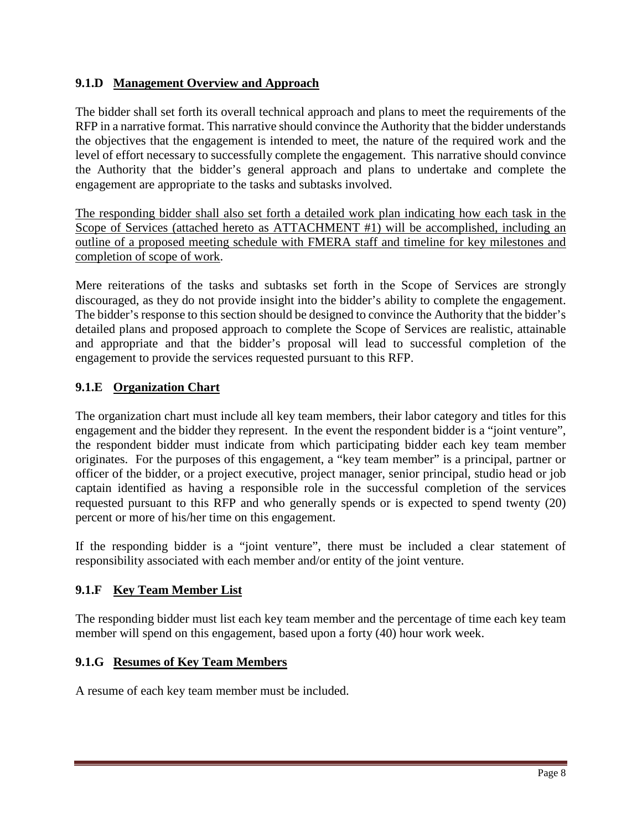# **9.1.D Management Overview and Approach**

The bidder shall set forth its overall technical approach and plans to meet the requirements of the RFP in a narrative format. This narrative should convince the Authority that the bidder understands the objectives that the engagement is intended to meet, the nature of the required work and the level of effort necessary to successfully complete the engagement. This narrative should convince the Authority that the bidder's general approach and plans to undertake and complete the engagement are appropriate to the tasks and subtasks involved.

The responding bidder shall also set forth a detailed work plan indicating how each task in the Scope of Services (attached hereto as ATTACHMENT #1) will be accomplished, including an outline of a proposed meeting schedule with FMERA staff and timeline for key milestones and completion of scope of work.

Mere reiterations of the tasks and subtasks set forth in the Scope of Services are strongly discouraged, as they do not provide insight into the bidder's ability to complete the engagement. The bidder's response to this section should be designed to convince the Authority that the bidder's detailed plans and proposed approach to complete the Scope of Services are realistic, attainable and appropriate and that the bidder's proposal will lead to successful completion of the engagement to provide the services requested pursuant to this RFP.

# **9.1.E Organization Chart**

The organization chart must include all key team members, their labor category and titles for this engagement and the bidder they represent. In the event the respondent bidder is a "joint venture", the respondent bidder must indicate from which participating bidder each key team member originates. For the purposes of this engagement, a "key team member" is a principal, partner or officer of the bidder, or a project executive, project manager, senior principal, studio head or job captain identified as having a responsible role in the successful completion of the services requested pursuant to this RFP and who generally spends or is expected to spend twenty (20) percent or more of his/her time on this engagement.

If the responding bidder is a "joint venture", there must be included a clear statement of responsibility associated with each member and/or entity of the joint venture.

# **9.1.F Key Team Member List**

The responding bidder must list each key team member and the percentage of time each key team member will spend on this engagement, based upon a forty (40) hour work week.

# **9.1.G Resumes of Key Team Members**

A resume of each key team member must be included.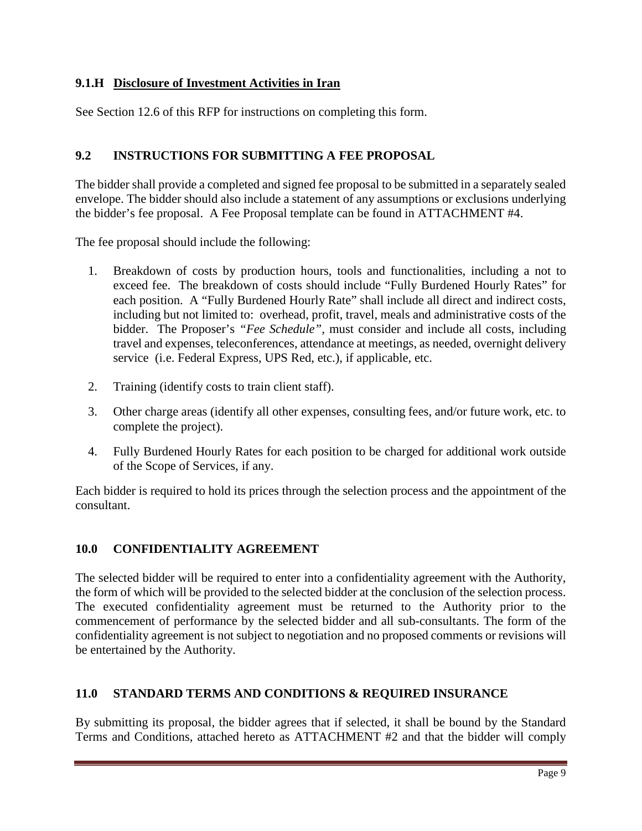# **9.1.H Disclosure of Investment Activities in Iran**

See Section 12.6 of this RFP for instructions on completing this form.

# **9.2 INSTRUCTIONS FOR SUBMITTING A FEE PROPOSAL**

The bidder shall provide a completed and signed fee proposal to be submitted in a separately sealed envelope. The bidder should also include a statement of any assumptions or exclusions underlying the bidder's fee proposal. A Fee Proposal template can be found in ATTACHMENT #4.

The fee proposal should include the following:

- 1. Breakdown of costs by production hours, tools and functionalities, including a not to exceed fee. The breakdown of costs should include "Fully Burdened Hourly Rates" for each position. A "Fully Burdened Hourly Rate" shall include all direct and indirect costs, including but not limited to: overhead, profit, travel, meals and administrative costs of the bidder. The Proposer's *"Fee Schedule",* must consider and include all costs, including travel and expenses, teleconferences, attendance at meetings, as needed, overnight delivery service (i.e. Federal Express, UPS Red, etc.), if applicable, etc.
- 2. Training (identify costs to train client staff).
- 3. Other charge areas (identify all other expenses, consulting fees, and/or future work, etc. to complete the project).
- 4. Fully Burdened Hourly Rates for each position to be charged for additional work outside of the Scope of Services, if any.

Each bidder is required to hold its prices through the selection process and the appointment of the consultant.

# **10.0 CONFIDENTIALITY AGREEMENT**

The selected bidder will be required to enter into a confidentiality agreement with the Authority, the form of which will be provided to the selected bidder at the conclusion of the selection process. The executed confidentiality agreement must be returned to the Authority prior to the commencement of performance by the selected bidder and all sub-consultants. The form of the confidentiality agreement is not subject to negotiation and no proposed comments or revisions will be entertained by the Authority.

# **11.0 STANDARD TERMS AND CONDITIONS & REQUIRED INSURANCE**

By submitting its proposal, the bidder agrees that if selected, it shall be bound by the Standard Terms and Conditions, attached hereto as ATTACHMENT #2 and that the bidder will comply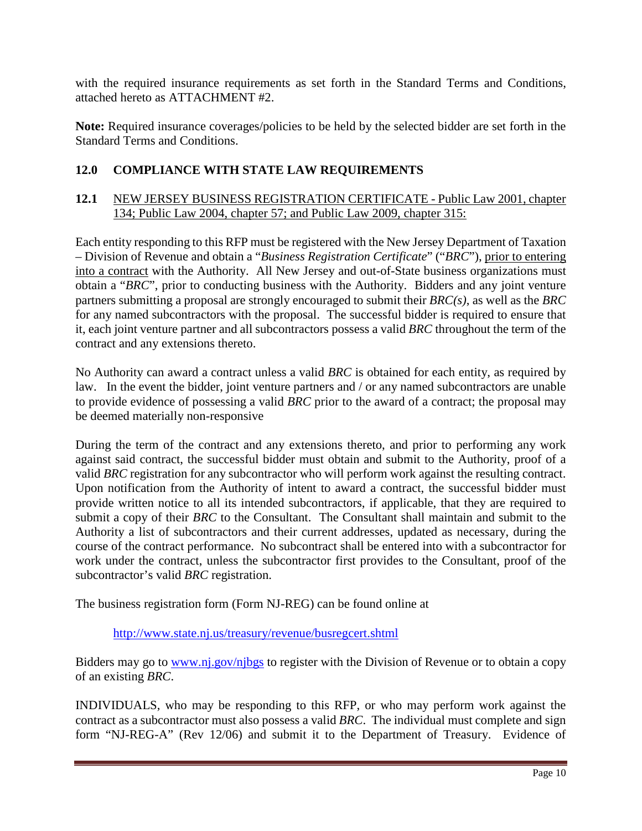with the required insurance requirements as set forth in the Standard Terms and Conditions, attached hereto as ATTACHMENT #2.

**Note:** Required insurance coverages/policies to be held by the selected bidder are set forth in the Standard Terms and Conditions.

# **12.0 COMPLIANCE WITH STATE LAW REQUIREMENTS**

#### **12.1** NEW JERSEY BUSINESS REGISTRATION CERTIFICATE - Public Law 2001, chapter 134; Public Law 2004, chapter 57; and Public Law 2009, chapter 315:

Each entity responding to this RFP must be registered with the New Jersey Department of Taxation – Division of Revenue and obtain a "*Business Registration Certificate*" ("*BRC*"), prior to entering into a contract with the Authority. All New Jersey and out-of-State business organizations must obtain a "*BRC*", prior to conducting business with the Authority. Bidders and any joint venture partners submitting a proposal are strongly encouraged to submit their *BRC(s)*, as well as the *BRC* for any named subcontractors with the proposal. The successful bidder is required to ensure that it, each joint venture partner and all subcontractors possess a valid *BRC* throughout the term of the contract and any extensions thereto.

No Authority can award a contract unless a valid *BRC* is obtained for each entity, as required by law. In the event the bidder, joint venture partners and / or any named subcontractors are unable to provide evidence of possessing a valid *BRC* prior to the award of a contract; the proposal may be deemed materially non-responsive

During the term of the contract and any extensions thereto, and prior to performing any work against said contract, the successful bidder must obtain and submit to the Authority, proof of a valid *BRC* registration for any subcontractor who will perform work against the resulting contract. Upon notification from the Authority of intent to award a contract, the successful bidder must provide written notice to all its intended subcontractors, if applicable, that they are required to submit a copy of their *BRC* to the Consultant. The Consultant shall maintain and submit to the Authority a list of subcontractors and their current addresses, updated as necessary, during the course of the contract performance. No subcontract shall be entered into with a subcontractor for work under the contract, unless the subcontractor first provides to the Consultant, proof of the subcontractor's valid *BRC* registration.

The business registration form (Form NJ-REG) can be found online at

#### <http://www.state.nj.us/treasury/revenue/busregcert.shtml>

Bidders may go to www.nj.gov/njbgs to register with the Division of Revenue or to obtain a copy of an existing *BRC*.

INDIVIDUALS, who may be responding to this RFP, or who may perform work against the contract as a subcontractor must also possess a valid *BRC*. The individual must complete and sign form "NJ-REG-A" (Rev 12/06) and submit it to the Department of Treasury. Evidence of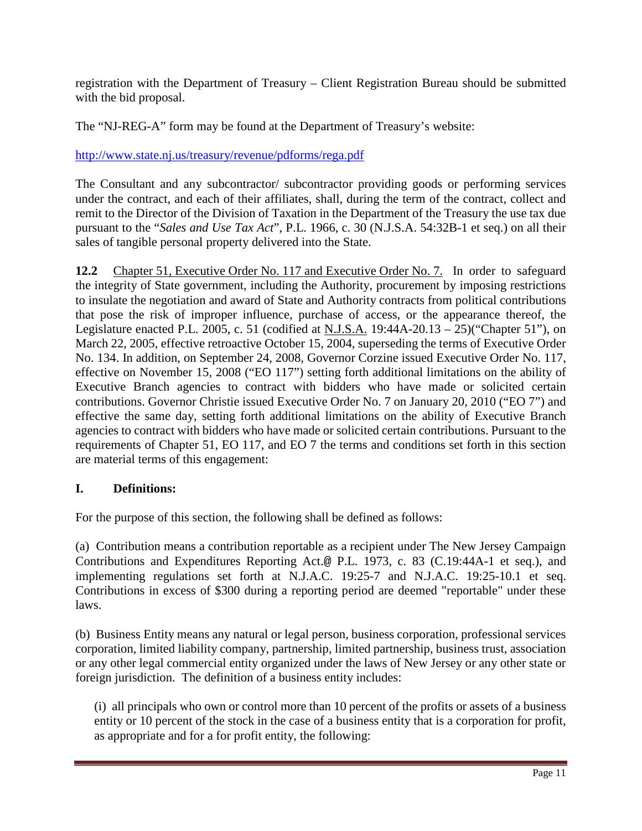registration with the Department of Treasury – Client Registration Bureau should be submitted with the bid proposal.

The "NJ-REG-A" form may be found at the Department of Treasury's website:

<http://www.state.nj.us/treasury/revenue/pdforms/rega.pdf>

The Consultant and any subcontractor/ subcontractor providing goods or performing services under the contract, and each of their affiliates, shall, during the term of the contract, collect and remit to the Director of the Division of Taxation in the Department of the Treasury the use tax due pursuant to the "*Sales and Use Tax Act*", P.L. 1966, c. 30 (N.J.S.A. 54:32B-1 et seq.) on all their sales of tangible personal property delivered into the State.

**12.2** Chapter 51, Executive Order No. 117 and Executive Order No. 7. In order to safeguard the integrity of State government, including the Authority, procurement by imposing restrictions to insulate the negotiation and award of State and Authority contracts from political contributions that pose the risk of improper influence, purchase of access, or the appearance thereof, the Legislature enacted P.L. 2005, c. 51 (codified at N.J.S.A. 19:44A-20.13 – 25)("Chapter 51"), on March 22, 2005, effective retroactive October 15, 2004, superseding the terms of Executive Order No. 134. In addition, on September 24, 2008, Governor Corzine issued Executive Order No. 117, effective on November 15, 2008 ("EO 117") setting forth additional limitations on the ability of Executive Branch agencies to contract with bidders who have made or solicited certain contributions. Governor Christie issued Executive Order No. 7 on January 20, 2010 ("EO 7") and effective the same day, setting forth additional limitations on the ability of Executive Branch agencies to contract with bidders who have made or solicited certain contributions. Pursuant to the requirements of Chapter 51, EO 117, and EO 7 the terms and conditions set forth in this section are material terms of this engagement:

# **I. Definitions:**

For the purpose of this section, the following shall be defined as follows:

(a) Contribution means a contribution reportable as a recipient under The New Jersey Campaign Contributions and Expenditures Reporting Act.@ P.L. 1973, c. 83 (C.19:44A-1 et seq.), and implementing regulations set forth at N.J.A.C. 19:25-7 and N.J.A.C. 19:25-10.1 et seq. Contributions in excess of \$300 during a reporting period are deemed "reportable" under these laws.

(b) Business Entity means any natural or legal person, business corporation, professional services corporation, limited liability company, partnership, limited partnership, business trust, association or any other legal commercial entity organized under the laws of New Jersey or any other state or foreign jurisdiction. The definition of a business entity includes:

(i) all principals who own or control more than 10 percent of the profits or assets of a business entity or 10 percent of the stock in the case of a business entity that is a corporation for profit, as appropriate and for a for profit entity, the following: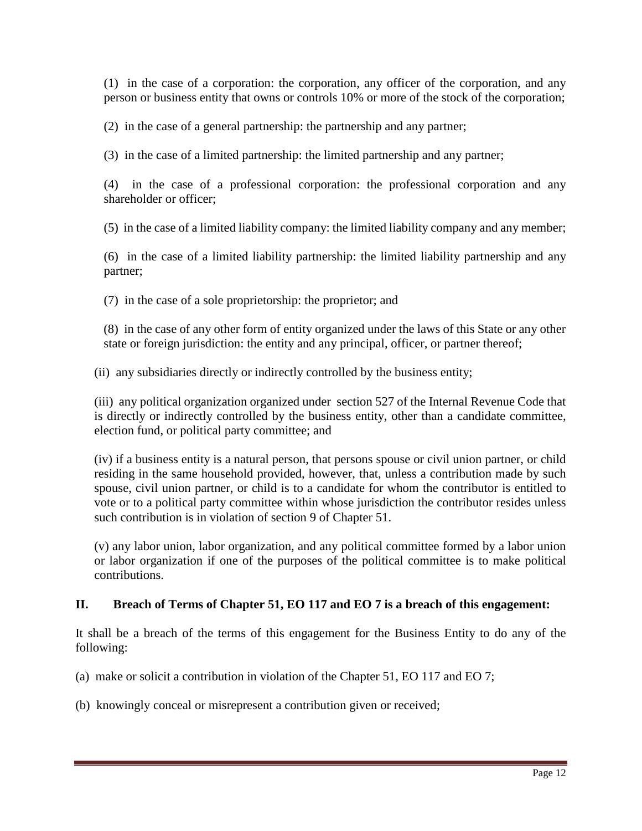(1) in the case of a corporation: the corporation, any officer of the corporation, and any person or business entity that owns or controls 10% or more of the stock of the corporation;

(2) in the case of a general partnership: the partnership and any partner;

(3) in the case of a limited partnership: the limited partnership and any partner;

(4) in the case of a professional corporation: the professional corporation and any shareholder or officer;

(5) in the case of a limited liability company: the limited liability company and any member;

(6) in the case of a limited liability partnership: the limited liability partnership and any partner;

(7) in the case of a sole proprietorship: the proprietor; and

(8) in the case of any other form of entity organized under the laws of this State or any other state or foreign jurisdiction: the entity and any principal, officer, or partner thereof;

(ii) any subsidiaries directly or indirectly controlled by the business entity;

(iii) any political organization organized under section 527 of the Internal Revenue Code that is directly or indirectly controlled by the business entity, other than a candidate committee, election fund, or political party committee; and

(iv) if a business entity is a natural person, that persons spouse or civil union partner, or child residing in the same household provided, however, that, unless a contribution made by such spouse, civil union partner, or child is to a candidate for whom the contributor is entitled to vote or to a political party committee within whose jurisdiction the contributor resides unless such contribution is in violation of section 9 of Chapter 51.

(v) any labor union, labor organization, and any political committee formed by a labor union or labor organization if one of the purposes of the political committee is to make political contributions.

#### **II. Breach of Terms of Chapter 51, EO 117 and EO 7 is a breach of this engagement:**

It shall be a breach of the terms of this engagement for the Business Entity to do any of the following:

(a) make or solicit a contribution in violation of the Chapter 51, EO 117 and EO 7;

(b) knowingly conceal or misrepresent a contribution given or received;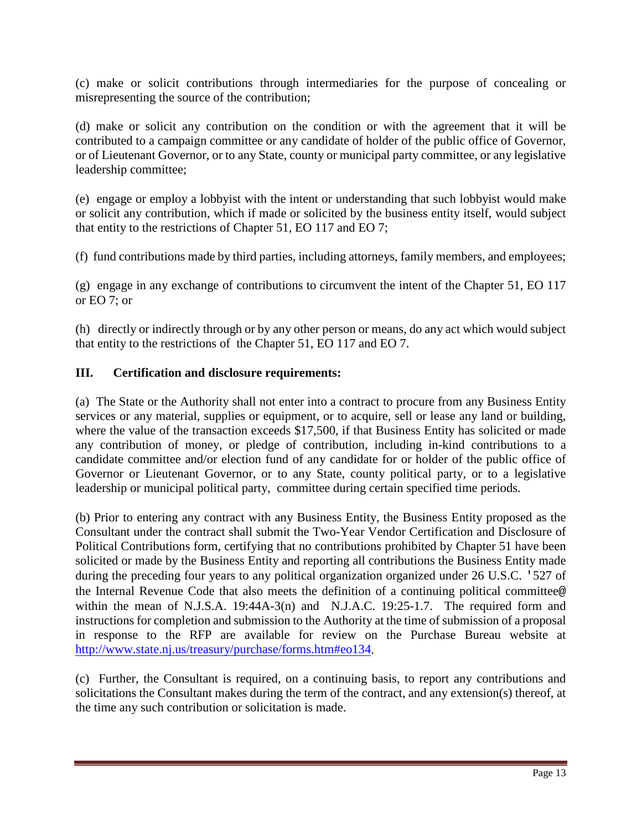(c) make or solicit contributions through intermediaries for the purpose of concealing or misrepresenting the source of the contribution;

(d) make or solicit any contribution on the condition or with the agreement that it will be contributed to a campaign committee or any candidate of holder of the public office of Governor, or of Lieutenant Governor, or to any State, county or municipal party committee, or any legislative leadership committee;

(e) engage or employ a lobbyist with the intent or understanding that such lobbyist would make or solicit any contribution, which if made or solicited by the business entity itself, would subject that entity to the restrictions of Chapter 51, EO 117 and EO 7;

(f) fund contributions made by third parties, including attorneys, family members, and employees;

(g) engage in any exchange of contributions to circumvent the intent of the Chapter 51, EO 117 or EO 7; or

(h) directly or indirectly through or by any other person or means, do any act which would subject that entity to the restrictions of the Chapter 51, EO 117 and EO 7.

#### **III. Certification and disclosure requirements:**

(a) The State or the Authority shall not enter into a contract to procure from any Business Entity services or any material, supplies or equipment, or to acquire, sell or lease any land or building, where the value of the transaction exceeds \$17,500, if that Business Entity has solicited or made any contribution of money, or pledge of contribution, including in-kind contributions to a candidate committee and/or election fund of any candidate for or holder of the public office of Governor or Lieutenant Governor, or to any State, county political party, or to a legislative leadership or municipal political party, committee during certain specified time periods.

(b) Prior to entering any contract with any Business Entity, the Business Entity proposed as the Consultant under the contract shall submit the Two-Year Vendor Certification and Disclosure of Political Contributions form, certifying that no contributions prohibited by Chapter 51 have been solicited or made by the Business Entity and reporting all contributions the Business Entity made during the preceding four years to any political organization organized under 26 U.S.C. '527 of the Internal Revenue Code that also meets the definition of a continuing political committee@ within the mean of N.J.S.A. 19:44A-3(n) and N.J.A.C. 19:25-1.7. The required form and instructions for completion and submission to the Authority at the time of submission of a proposal in response to the RFP are available for review on the Purchase Bureau website at [http://www.state.nj.us/treasury/purchase/forms.htm#eo134.](http://www.state.nj.us/treasury/purchase/forms.htm#eo134)

(c) Further, the Consultant is required, on a continuing basis, to report any contributions and solicitations the Consultant makes during the term of the contract, and any extension(s) thereof, at the time any such contribution or solicitation is made.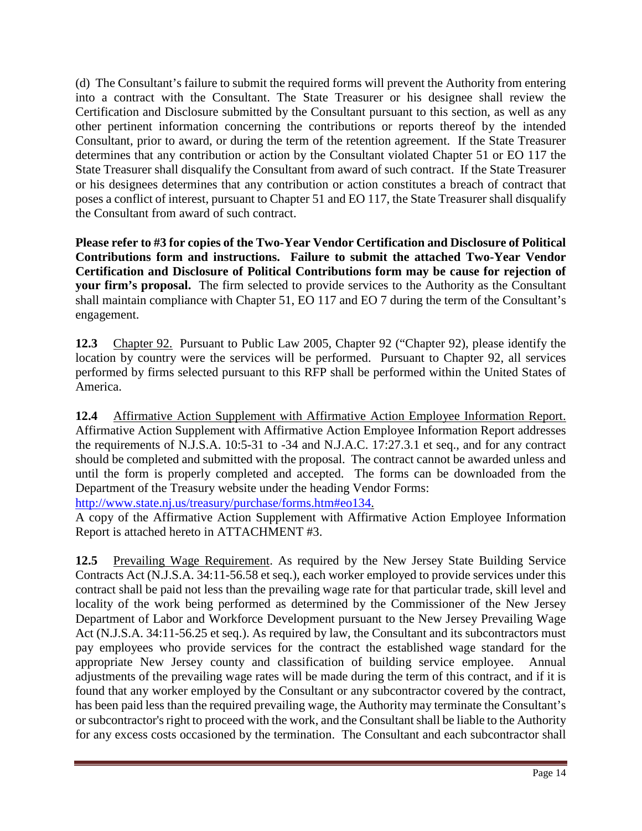(d) The Consultant's failure to submit the required forms will prevent the Authority from entering into a contract with the Consultant. The State Treasurer or his designee shall review the Certification and Disclosure submitted by the Consultant pursuant to this section, as well as any other pertinent information concerning the contributions or reports thereof by the intended Consultant, prior to award, or during the term of the retention agreement. If the State Treasurer determines that any contribution or action by the Consultant violated Chapter 51 or EO 117 the State Treasurer shall disqualify the Consultant from award of such contract. If the State Treasurer or his designees determines that any contribution or action constitutes a breach of contract that poses a conflict of interest, pursuant to Chapter 51 and EO 117, the State Treasurer shall disqualify the Consultant from award of such contract.

**Please refer to #3 for copies of the Two-Year Vendor Certification and Disclosure of Political Contributions form and instructions. Failure to submit the attached Two-Year Vendor Certification and Disclosure of Political Contributions form may be cause for rejection of your firm's proposal.** The firm selected to provide services to the Authority as the Consultant shall maintain compliance with Chapter 51, EO 117 and EO 7 during the term of the Consultant's engagement.

**12.3** Chapter 92. Pursuant to Public Law 2005, Chapter 92 ("Chapter 92), please identify the location by country were the services will be performed. Pursuant to Chapter 92, all services performed by firms selected pursuant to this RFP shall be performed within the United States of America.

**12.4** Affirmative Action Supplement with Affirmative Action Employee Information Report. Affirmative Action Supplement with Affirmative Action Employee Information Report addresses the requirements of N.J.S.A. 10:5-31 to -34 and N.J.A.C. 17:27.3.1 et seq., and for any contract should be completed and submitted with the proposal. The contract cannot be awarded unless and until the form is properly completed and accepted. The forms can be downloaded from the Department of the Treasury website under the heading Vendor Forms:

[http://www.state.nj.us/treasury/purchase/forms.htm#eo134.](http://www.state.nj.us/treasury/purchase/forms.htm#eo134)

A copy of the Affirmative Action Supplement with Affirmative Action Employee Information Report is attached hereto in ATTACHMENT #3.

**12.5** Prevailing Wage Requirement. As required by the New Jersey State Building Service Contracts Act (N.J.S.A. 34:11-56.58 et seq.), each worker employed to provide services under this contract shall be paid not less than the prevailing wage rate for that particular trade, skill level and locality of the work being performed as determined by the Commissioner of the New Jersey Department of Labor and Workforce Development pursuant to the New Jersey Prevailing Wage Act (N.J.S.A. 34:11-56.25 et seq.). As required by law, the Consultant and its subcontractors must pay employees who provide services for the contract the established wage standard for the appropriate New Jersey county and classification of building service employee. Annual adjustments of the prevailing wage rates will be made during the term of this contract, and if it is found that any worker employed by the Consultant or any subcontractor covered by the contract, has been paid less than the required prevailing wage, the Authority may terminate the Consultant's or subcontractor's right to proceed with the work, and the Consultant shall be liable to the Authority for any excess costs occasioned by the termination. The Consultant and each subcontractor shall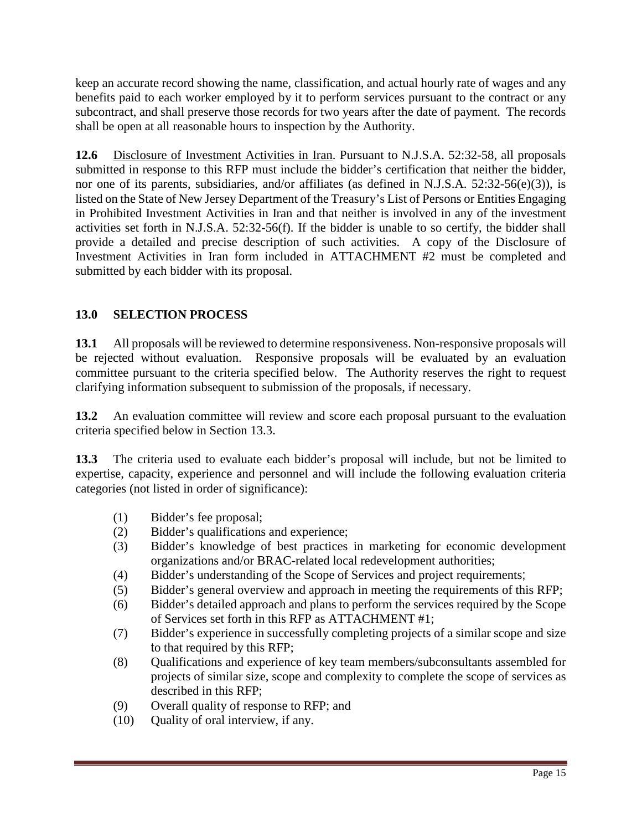keep an accurate record showing the name, classification, and actual hourly rate of wages and any benefits paid to each worker employed by it to perform services pursuant to the contract or any subcontract, and shall preserve those records for two years after the date of payment. The records shall be open at all reasonable hours to inspection by the Authority.

**12.6** Disclosure of Investment Activities in Iran. Pursuant to N.J.S.A. 52:32-58, all proposals submitted in response to this RFP must include the bidder's certification that neither the bidder, nor one of its parents, subsidiaries, and/or affiliates (as defined in N.J.S.A. 52:32-56(e)(3)), is listed on the State of New Jersey Department of the Treasury's List of Persons or Entities Engaging in Prohibited Investment Activities in Iran and that neither is involved in any of the investment activities set forth in N.J.S.A. 52:32-56(f). If the bidder is unable to so certify, the bidder shall provide a detailed and precise description of such activities. A copy of the Disclosure of Investment Activities in Iran form included in ATTACHMENT #2 must be completed and submitted by each bidder with its proposal.

# **13.0 SELECTION PROCESS**

**13.1** All proposals will be reviewed to determine responsiveness. Non-responsive proposals will be rejected without evaluation. Responsive proposals will be evaluated by an evaluation committee pursuant to the criteria specified below. The Authority reserves the right to request clarifying information subsequent to submission of the proposals, if necessary.

**13.2** An evaluation committee will review and score each proposal pursuant to the evaluation criteria specified below in Section 13.3.

**13.3** The criteria used to evaluate each bidder's proposal will include, but not be limited to expertise, capacity, experience and personnel and will include the following evaluation criteria categories (not listed in order of significance):

- (1) Bidder's fee proposal;
- (2) Bidder's qualifications and experience;
- (3) Bidder's knowledge of best practices in marketing for economic development organizations and/or BRAC-related local redevelopment authorities;
- (4) Bidder's understanding of the Scope of Services and project requirements;
- (5) Bidder's general overview and approach in meeting the requirements of this RFP;
- (6) Bidder's detailed approach and plans to perform the services required by the Scope of Services set forth in this RFP as ATTACHMENT #1;
- (7) Bidder's experience in successfully completing projects of a similar scope and size to that required by this RFP;
- (8) Qualifications and experience of key team members/subconsultants assembled for projects of similar size, scope and complexity to complete the scope of services as described in this RFP;
- (9) Overall quality of response to RFP; and
- (10) Quality of oral interview, if any.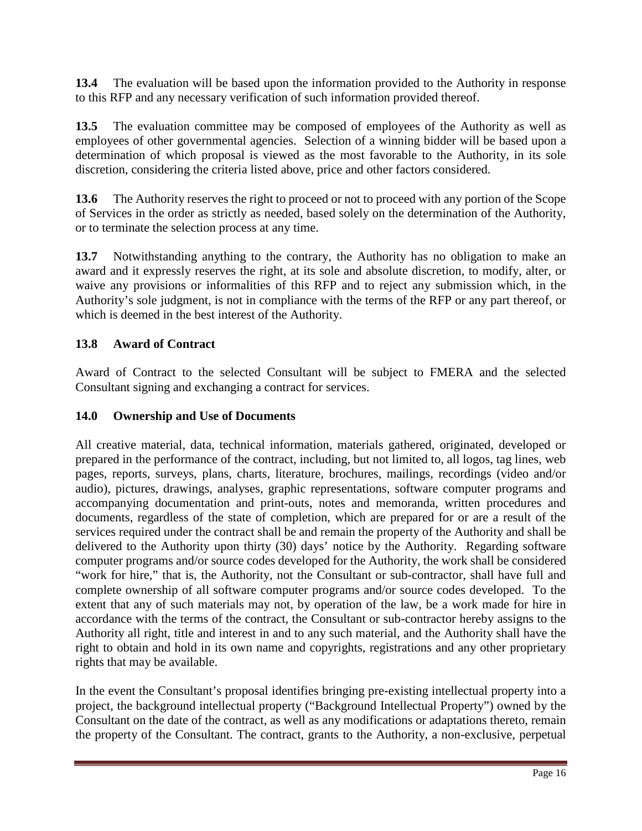**13.4** The evaluation will be based upon the information provided to the Authority in response to this RFP and any necessary verification of such information provided thereof.

**13.5** The evaluation committee may be composed of employees of the Authority as well as employees of other governmental agencies. Selection of a winning bidder will be based upon a determination of which proposal is viewed as the most favorable to the Authority, in its sole discretion, considering the criteria listed above, price and other factors considered.

**13.6** The Authority reserves the right to proceed or not to proceed with any portion of the Scope of Services in the order as strictly as needed, based solely on the determination of the Authority, or to terminate the selection process at any time.

**13.7** Notwithstanding anything to the contrary, the Authority has no obligation to make an award and it expressly reserves the right, at its sole and absolute discretion, to modify, alter, or waive any provisions or informalities of this RFP and to reject any submission which, in the Authority's sole judgment, is not in compliance with the terms of the RFP or any part thereof, or which is deemed in the best interest of the Authority.

# **13.8 Award of Contract**

Award of Contract to the selected Consultant will be subject to FMERA and the selected Consultant signing and exchanging a contract for services.

# **14.0 Ownership and Use of Documents**

All creative material, data, technical information, materials gathered, originated, developed or prepared in the performance of the contract, including, but not limited to, all logos, tag lines, web pages, reports, surveys, plans, charts, literature, brochures, mailings, recordings (video and/or audio), pictures, drawings, analyses, graphic representations, software computer programs and accompanying documentation and print-outs, notes and memoranda, written procedures and documents, regardless of the state of completion, which are prepared for or are a result of the services required under the contract shall be and remain the property of the Authority and shall be delivered to the Authority upon thirty (30) days' notice by the Authority. Regarding software computer programs and/or source codes developed for the Authority, the work shall be considered "work for hire," that is, the Authority, not the Consultant or sub-contractor, shall have full and complete ownership of all software computer programs and/or source codes developed. To the extent that any of such materials may not, by operation of the law, be a work made for hire in accordance with the terms of the contract, the Consultant or sub-contractor hereby assigns to the Authority all right, title and interest in and to any such material, and the Authority shall have the right to obtain and hold in its own name and copyrights, registrations and any other proprietary rights that may be available.

In the event the Consultant's proposal identifies bringing pre-existing intellectual property into a project, the background intellectual property ("Background Intellectual Property") owned by the Consultant on the date of the contract, as well as any modifications or adaptations thereto, remain the property of the Consultant. The contract, grants to the Authority, a non-exclusive, perpetual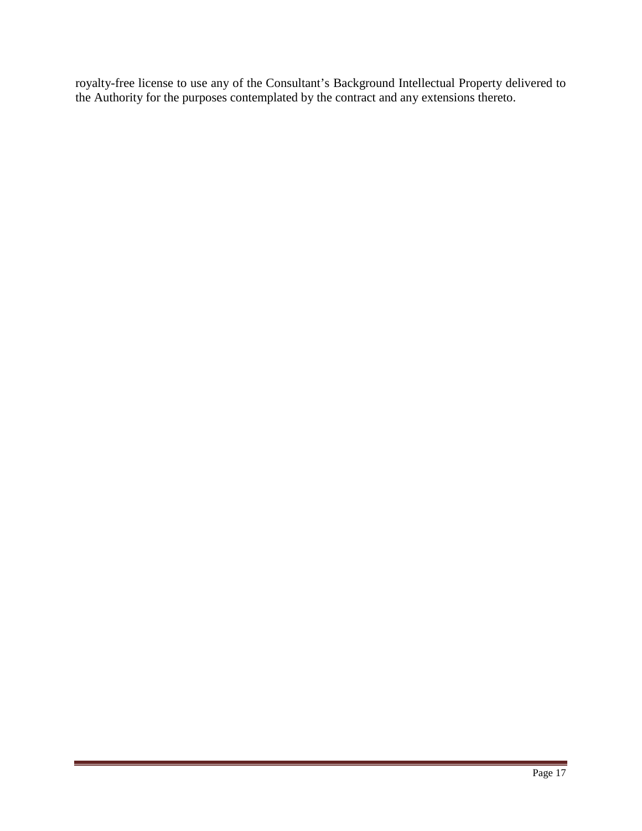royalty-free license to use any of the Consultant's Background Intellectual Property delivered to the Authority for the purposes contemplated by the contract and any extensions thereto.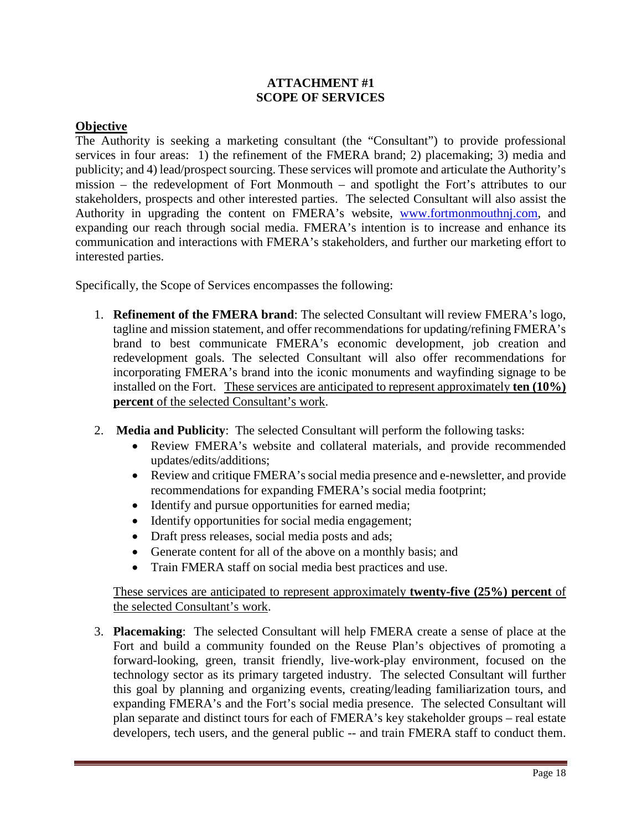#### **ATTACHMENT #1 SCOPE OF SERVICES**

#### **Objective**

The Authority is seeking a marketing consultant (the "Consultant") to provide professional services in four areas: 1) the refinement of the FMERA brand; 2) placemaking; 3) media and publicity; and 4) lead/prospect sourcing. These services will promote and articulate the Authority's mission – the redevelopment of Fort Monmouth – and spotlight the Fort's attributes to our stakeholders, prospects and other interested parties. The selected Consultant will also assist the Authority in upgrading the content on FMERA's website, [www.fortmonmouthnj.com,](http://www.fortmonmouthnj.com/) and expanding our reach through social media. FMERA's intention is to increase and enhance its communication and interactions with FMERA's stakeholders, and further our marketing effort to interested parties.

Specifically, the Scope of Services encompasses the following:

- 1. **Refinement of the FMERA brand**: The selected Consultant will review FMERA's logo, tagline and mission statement, and offer recommendations for updating/refining FMERA's brand to best communicate FMERA's economic development, job creation and redevelopment goals. The selected Consultant will also offer recommendations for incorporating FMERA's brand into the iconic monuments and wayfinding signage to be installed on the Fort. These services are anticipated to represent approximately **ten (10%) percent** of the selected Consultant's work.
- 2. **Media and Publicity**: The selected Consultant will perform the following tasks:
	- Review FMERA's website and collateral materials, and provide recommended updates/edits/additions;
	- Review and critique FMERA's social media presence and e-newsletter, and provide recommendations for expanding FMERA's social media footprint;
	- Identify and pursue opportunities for earned media;
	- Identify opportunities for social media engagement;
	- Draft press releases, social media posts and ads;
	- Generate content for all of the above on a monthly basis; and
	- Train FMERA staff on social media best practices and use.

# These services are anticipated to represent approximately **twenty-five (25%) percent** of the selected Consultant's work.

3. **Placemaking**: The selected Consultant will help FMERA create a sense of place at the Fort and build a community founded on the Reuse Plan's objectives of promoting a forward-looking, green, transit friendly, live-work-play environment, focused on the technology sector as its primary targeted industry. The selected Consultant will further this goal by planning and organizing events, creating/leading familiarization tours, and expanding FMERA's and the Fort's social media presence. The selected Consultant will plan separate and distinct tours for each of FMERA's key stakeholder groups – real estate developers, tech users, and the general public -- and train FMERA staff to conduct them.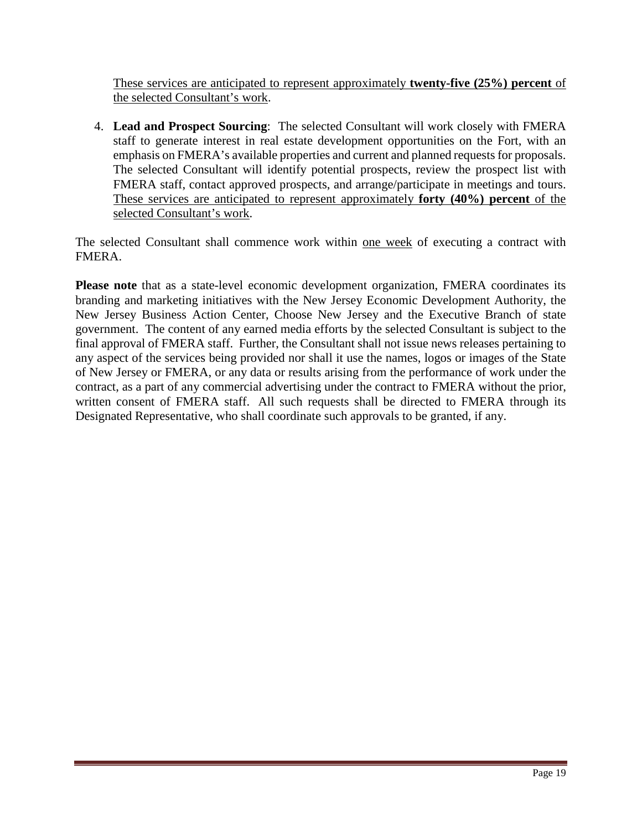These services are anticipated to represent approximately **twenty-five (25%) percent** of the selected Consultant's work.

4. **Lead and Prospect Sourcing**: The selected Consultant will work closely with FMERA staff to generate interest in real estate development opportunities on the Fort, with an emphasis on FMERA's available properties and current and planned requests for proposals. The selected Consultant will identify potential prospects, review the prospect list with FMERA staff, contact approved prospects, and arrange/participate in meetings and tours. These services are anticipated to represent approximately **forty (40%) percent** of the selected Consultant's work.

The selected Consultant shall commence work within one week of executing a contract with FMERA.

**Please note** that as a state-level economic development organization, FMERA coordinates its branding and marketing initiatives with the New Jersey Economic Development Authority, the New Jersey Business Action Center, Choose New Jersey and the Executive Branch of state government. The content of any earned media efforts by the selected Consultant is subject to the final approval of FMERA staff. Further, the Consultant shall not issue news releases pertaining to any aspect of the services being provided nor shall it use the names, logos or images of the State of New Jersey or FMERA, or any data or results arising from the performance of work under the contract, as a part of any commercial advertising under the contract to FMERA without the prior, written consent of FMERA staff. All such requests shall be directed to FMERA through its Designated Representative, who shall coordinate such approvals to be granted, if any.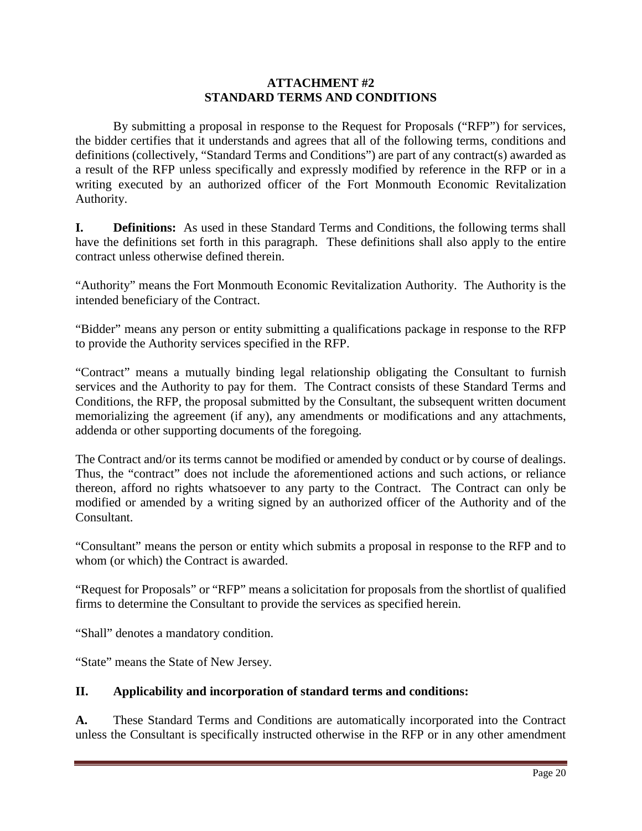#### **ATTACHMENT #2 STANDARD TERMS AND CONDITIONS**

By submitting a proposal in response to the Request for Proposals ("RFP") for services, the bidder certifies that it understands and agrees that all of the following terms, conditions and definitions (collectively, "Standard Terms and Conditions") are part of any contract(s) awarded as a result of the RFP unless specifically and expressly modified by reference in the RFP or in a writing executed by an authorized officer of the Fort Monmouth Economic Revitalization Authority.

**I. Definitions:** As used in these Standard Terms and Conditions, the following terms shall have the definitions set forth in this paragraph. These definitions shall also apply to the entire contract unless otherwise defined therein.

"Authority" means the Fort Monmouth Economic Revitalization Authority. The Authority is the intended beneficiary of the Contract.

"Bidder" means any person or entity submitting a qualifications package in response to the RFP to provide the Authority services specified in the RFP.

"Contract" means a mutually binding legal relationship obligating the Consultant to furnish services and the Authority to pay for them. The Contract consists of these Standard Terms and Conditions, the RFP, the proposal submitted by the Consultant, the subsequent written document memorializing the agreement (if any), any amendments or modifications and any attachments, addenda or other supporting documents of the foregoing.

The Contract and/or its terms cannot be modified or amended by conduct or by course of dealings. Thus, the "contract" does not include the aforementioned actions and such actions, or reliance thereon, afford no rights whatsoever to any party to the Contract. The Contract can only be modified or amended by a writing signed by an authorized officer of the Authority and of the Consultant.

"Consultant" means the person or entity which submits a proposal in response to the RFP and to whom (or which) the Contract is awarded.

"Request for Proposals" or "RFP" means a solicitation for proposals from the shortlist of qualified firms to determine the Consultant to provide the services as specified herein.

"Shall" denotes a mandatory condition.

"State" means the State of New Jersey.

# **II. Applicability and incorporation of standard terms and conditions:**

**A.** These Standard Terms and Conditions are automatically incorporated into the Contract unless the Consultant is specifically instructed otherwise in the RFP or in any other amendment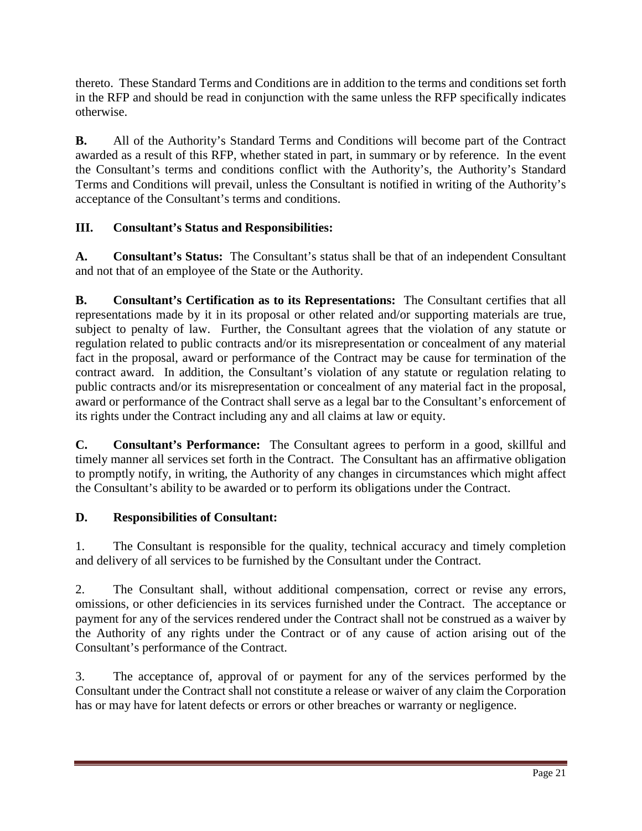thereto. These Standard Terms and Conditions are in addition to the terms and conditions set forth in the RFP and should be read in conjunction with the same unless the RFP specifically indicates otherwise.

**B.** All of the Authority's Standard Terms and Conditions will become part of the Contract awarded as a result of this RFP, whether stated in part, in summary or by reference. In the event the Consultant's terms and conditions conflict with the Authority's, the Authority's Standard Terms and Conditions will prevail, unless the Consultant is notified in writing of the Authority's acceptance of the Consultant's terms and conditions.

# **III. Consultant's Status and Responsibilities:**

**A. Consultant's Status:** The Consultant's status shall be that of an independent Consultant and not that of an employee of the State or the Authority.

**B. Consultant's Certification as to its Representations:** The Consultant certifies that all representations made by it in its proposal or other related and/or supporting materials are true, subject to penalty of law. Further, the Consultant agrees that the violation of any statute or regulation related to public contracts and/or its misrepresentation or concealment of any material fact in the proposal, award or performance of the Contract may be cause for termination of the contract award. In addition, the Consultant's violation of any statute or regulation relating to public contracts and/or its misrepresentation or concealment of any material fact in the proposal, award or performance of the Contract shall serve as a legal bar to the Consultant's enforcement of its rights under the Contract including any and all claims at law or equity.

**C. Consultant's Performance:** The Consultant agrees to perform in a good, skillful and timely manner all services set forth in the Contract. The Consultant has an affirmative obligation to promptly notify, in writing, the Authority of any changes in circumstances which might affect the Consultant's ability to be awarded or to perform its obligations under the Contract.

# **D. Responsibilities of Consultant:**

1. The Consultant is responsible for the quality, technical accuracy and timely completion and delivery of all services to be furnished by the Consultant under the Contract.

2. The Consultant shall, without additional compensation, correct or revise any errors, omissions, or other deficiencies in its services furnished under the Contract. The acceptance or payment for any of the services rendered under the Contract shall not be construed as a waiver by the Authority of any rights under the Contract or of any cause of action arising out of the Consultant's performance of the Contract.

3. The acceptance of, approval of or payment for any of the services performed by the Consultant under the Contract shall not constitute a release or waiver of any claim the Corporation has or may have for latent defects or errors or other breaches or warranty or negligence.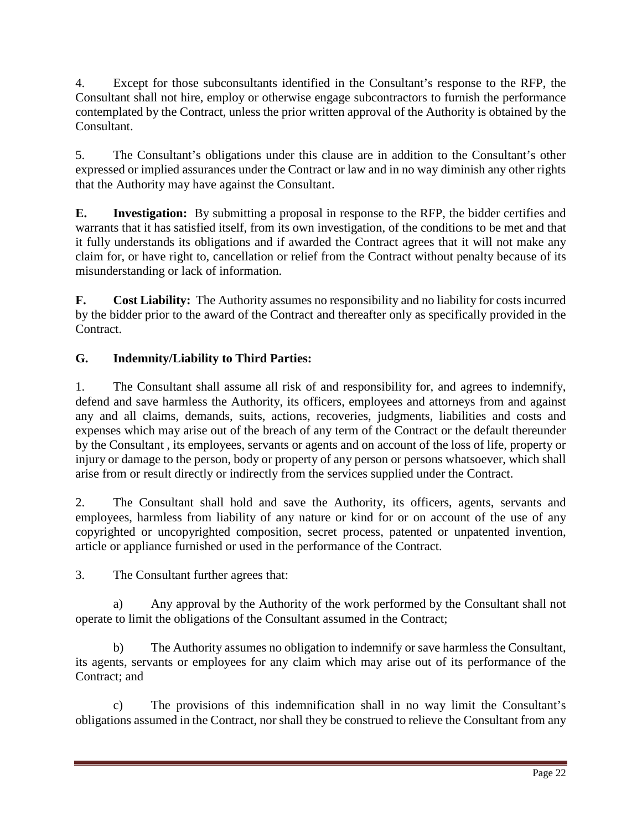4. Except for those subconsultants identified in the Consultant's response to the RFP, the Consultant shall not hire, employ or otherwise engage subcontractors to furnish the performance contemplated by the Contract, unless the prior written approval of the Authority is obtained by the Consultant.

5. The Consultant's obligations under this clause are in addition to the Consultant's other expressed or implied assurances under the Contract or law and in no way diminish any other rights that the Authority may have against the Consultant.

**E. Investigation:** By submitting a proposal in response to the RFP, the bidder certifies and warrants that it has satisfied itself, from its own investigation, of the conditions to be met and that it fully understands its obligations and if awarded the Contract agrees that it will not make any claim for, or have right to, cancellation or relief from the Contract without penalty because of its misunderstanding or lack of information.

**F. Cost Liability:** The Authority assumes no responsibility and no liability for costs incurred by the bidder prior to the award of the Contract and thereafter only as specifically provided in the Contract.

# **G. Indemnity/Liability to Third Parties:**

1. The Consultant shall assume all risk of and responsibility for, and agrees to indemnify, defend and save harmless the Authority, its officers, employees and attorneys from and against any and all claims, demands, suits, actions, recoveries, judgments, liabilities and costs and expenses which may arise out of the breach of any term of the Contract or the default thereunder by the Consultant , its employees, servants or agents and on account of the loss of life, property or injury or damage to the person, body or property of any person or persons whatsoever, which shall arise from or result directly or indirectly from the services supplied under the Contract.

2. The Consultant shall hold and save the Authority, its officers, agents, servants and employees, harmless from liability of any nature or kind for or on account of the use of any copyrighted or uncopyrighted composition, secret process, patented or unpatented invention, article or appliance furnished or used in the performance of the Contract.

3. The Consultant further agrees that:

a) Any approval by the Authority of the work performed by the Consultant shall not operate to limit the obligations of the Consultant assumed in the Contract;

b) The Authority assumes no obligation to indemnify or save harmless the Consultant, its agents, servants or employees for any claim which may arise out of its performance of the Contract; and

c) The provisions of this indemnification shall in no way limit the Consultant's obligations assumed in the Contract, nor shall they be construed to relieve the Consultant from any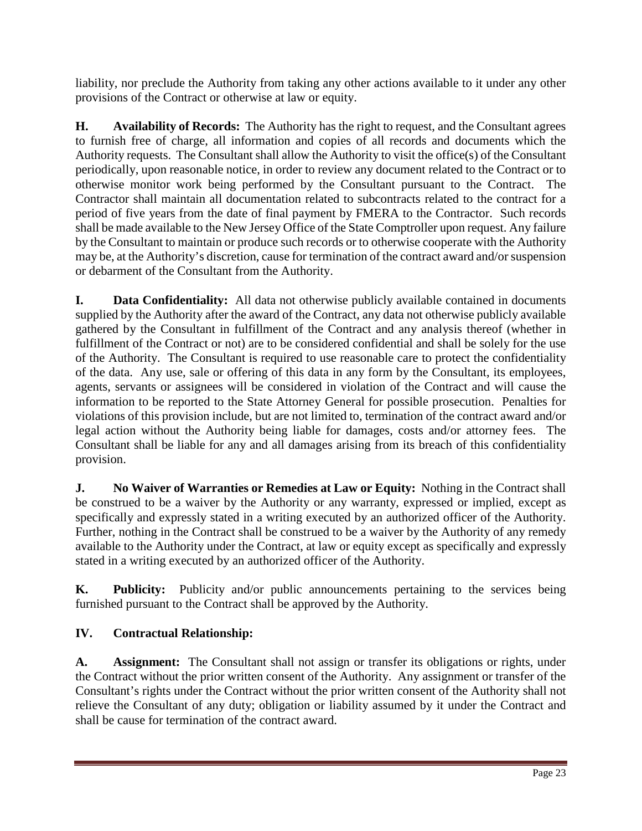liability, nor preclude the Authority from taking any other actions available to it under any other provisions of the Contract or otherwise at law or equity.

**H. Availability of Records:** The Authority has the right to request, and the Consultant agrees to furnish free of charge, all information and copies of all records and documents which the Authority requests. The Consultant shall allow the Authority to visit the office(s) of the Consultant periodically, upon reasonable notice, in order to review any document related to the Contract or to otherwise monitor work being performed by the Consultant pursuant to the Contract. The Contractor shall maintain all documentation related to subcontracts related to the contract for a period of five years from the date of final payment by FMERA to the Contractor. Such records shall be made available to the New Jersey Office of the State Comptroller upon request. Any failure by the Consultant to maintain or produce such records or to otherwise cooperate with the Authority may be, at the Authority's discretion, cause for termination of the contract award and/or suspension or debarment of the Consultant from the Authority.

**I. Data Confidentiality:** All data not otherwise publicly available contained in documents supplied by the Authority after the award of the Contract, any data not otherwise publicly available gathered by the Consultant in fulfillment of the Contract and any analysis thereof (whether in fulfillment of the Contract or not) are to be considered confidential and shall be solely for the use of the Authority. The Consultant is required to use reasonable care to protect the confidentiality of the data. Any use, sale or offering of this data in any form by the Consultant, its employees, agents, servants or assignees will be considered in violation of the Contract and will cause the information to be reported to the State Attorney General for possible prosecution. Penalties for violations of this provision include, but are not limited to, termination of the contract award and/or legal action without the Authority being liable for damages, costs and/or attorney fees. The Consultant shall be liable for any and all damages arising from its breach of this confidentiality provision.

**J. No Waiver of Warranties or Remedies at Law or Equity:** Nothing in the Contract shall be construed to be a waiver by the Authority or any warranty, expressed or implied, except as specifically and expressly stated in a writing executed by an authorized officer of the Authority. Further, nothing in the Contract shall be construed to be a waiver by the Authority of any remedy available to the Authority under the Contract, at law or equity except as specifically and expressly stated in a writing executed by an authorized officer of the Authority.

**K. Publicity:** Publicity and/or public announcements pertaining to the services being furnished pursuant to the Contract shall be approved by the Authority.

# **IV. Contractual Relationship:**

**A. Assignment:** The Consultant shall not assign or transfer its obligations or rights, under the Contract without the prior written consent of the Authority. Any assignment or transfer of the Consultant's rights under the Contract without the prior written consent of the Authority shall not relieve the Consultant of any duty; obligation or liability assumed by it under the Contract and shall be cause for termination of the contract award.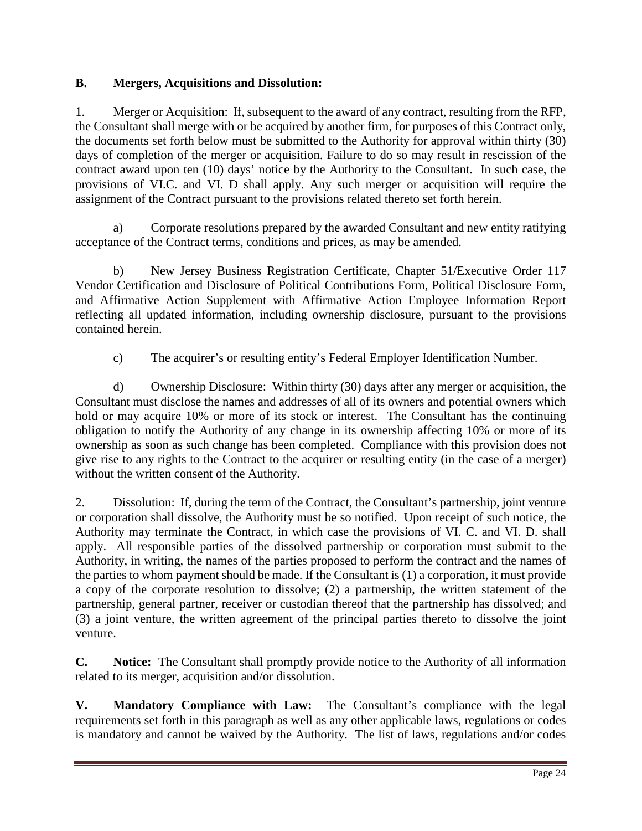# **B. Mergers, Acquisitions and Dissolution:**

1. Merger or Acquisition: If, subsequent to the award of any contract, resulting from the RFP, the Consultant shall merge with or be acquired by another firm, for purposes of this Contract only, the documents set forth below must be submitted to the Authority for approval within thirty (30) days of completion of the merger or acquisition. Failure to do so may result in rescission of the contract award upon ten (10) days' notice by the Authority to the Consultant. In such case, the provisions of VI.C. and VI. D shall apply. Any such merger or acquisition will require the assignment of the Contract pursuant to the provisions related thereto set forth herein.

a) Corporate resolutions prepared by the awarded Consultant and new entity ratifying acceptance of the Contract terms, conditions and prices, as may be amended.

b) New Jersey Business Registration Certificate, Chapter 51/Executive Order 117 Vendor Certification and Disclosure of Political Contributions Form, Political Disclosure Form, and Affirmative Action Supplement with Affirmative Action Employee Information Report reflecting all updated information, including ownership disclosure, pursuant to the provisions contained herein.

c) The acquirer's or resulting entity's Federal Employer Identification Number.

d) Ownership Disclosure: Within thirty (30) days after any merger or acquisition, the Consultant must disclose the names and addresses of all of its owners and potential owners which hold or may acquire 10% or more of its stock or interest. The Consultant has the continuing obligation to notify the Authority of any change in its ownership affecting 10% or more of its ownership as soon as such change has been completed. Compliance with this provision does not give rise to any rights to the Contract to the acquirer or resulting entity (in the case of a merger) without the written consent of the Authority.

2. Dissolution: If, during the term of the Contract, the Consultant's partnership, joint venture or corporation shall dissolve, the Authority must be so notified. Upon receipt of such notice, the Authority may terminate the Contract, in which case the provisions of VI. C. and VI. D. shall apply. All responsible parties of the dissolved partnership or corporation must submit to the Authority, in writing, the names of the parties proposed to perform the contract and the names of the parties to whom payment should be made. If the Consultant is (1) a corporation, it must provide a copy of the corporate resolution to dissolve; (2) a partnership, the written statement of the partnership, general partner, receiver or custodian thereof that the partnership has dissolved; and (3) a joint venture, the written agreement of the principal parties thereto to dissolve the joint venture.

**C. Notice:** The Consultant shall promptly provide notice to the Authority of all information related to its merger, acquisition and/or dissolution.

**V. Mandatory Compliance with Law:** The Consultant's compliance with the legal requirements set forth in this paragraph as well as any other applicable laws, regulations or codes is mandatory and cannot be waived by the Authority. The list of laws, regulations and/or codes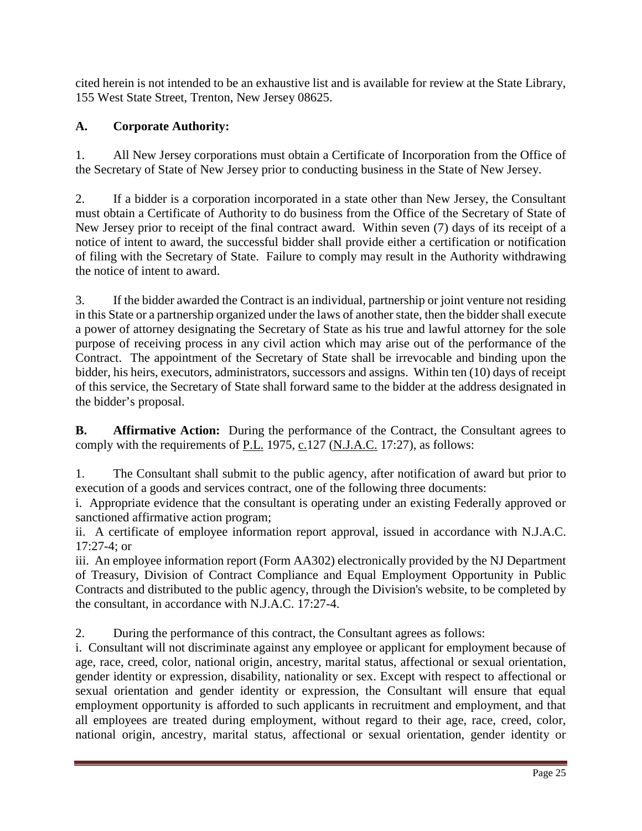cited herein is not intended to be an exhaustive list and is available for review at the State Library, 155 West State Street, Trenton, New Jersey 08625.

# **A. Corporate Authority:**

1. All New Jersey corporations must obtain a Certificate of Incorporation from the Office of the Secretary of State of New Jersey prior to conducting business in the State of New Jersey.

2. If a bidder is a corporation incorporated in a state other than New Jersey, the Consultant must obtain a Certificate of Authority to do business from the Office of the Secretary of State of New Jersey prior to receipt of the final contract award. Within seven (7) days of its receipt of a notice of intent to award, the successful bidder shall provide either a certification or notification of filing with the Secretary of State. Failure to comply may result in the Authority withdrawing the notice of intent to award.

3. If the bidder awarded the Contract is an individual, partnership or joint venture not residing in this State or a partnership organized under the laws of another state, then the bidder shall execute a power of attorney designating the Secretary of State as his true and lawful attorney for the sole purpose of receiving process in any civil action which may arise out of the performance of the Contract. The appointment of the Secretary of State shall be irrevocable and binding upon the bidder, his heirs, executors, administrators, successors and assigns. Within ten (10) days of receipt of this service, the Secretary of State shall forward same to the bidder at the address designated in the bidder's proposal.

**B. Affirmative Action:** During the performance of the Contract, the Consultant agrees to comply with the requirements of P.L. 1975, c.127 (N.J.A.C. 17:27), as follows:

1. The Consultant shall submit to the public agency, after notification of award but prior to execution of a goods and services contract, one of the following three documents:

i. Appropriate evidence that the consultant is operating under an existing Federally approved or sanctioned affirmative action program;

ii. A certificate of employee information report approval, issued in accordance with N.J.A.C. 17:27-4; or

iii. An employee information report (Form AA302) electronically provided by the NJ Department of Treasury, Division of Contract Compliance and Equal Employment Opportunity in Public Contracts and distributed to the public agency, through the Division's website, to be completed by the consultant, in accordance with N.J.A.C. 17:27-4.

2. During the performance of this contract, the Consultant agrees as follows:

i. Consultant will not discriminate against any employee or applicant for employment because of age, race, creed, color, national origin, ancestry, marital status, affectional or sexual orientation, gender identity or expression, disability, nationality or sex. Except with respect to affectional or sexual orientation and gender identity or expression, the Consultant will ensure that equal employment opportunity is afforded to such applicants in recruitment and employment, and that all employees are treated during employment, without regard to their age, race, creed, color, national origin, ancestry, marital status, affectional or sexual orientation, gender identity or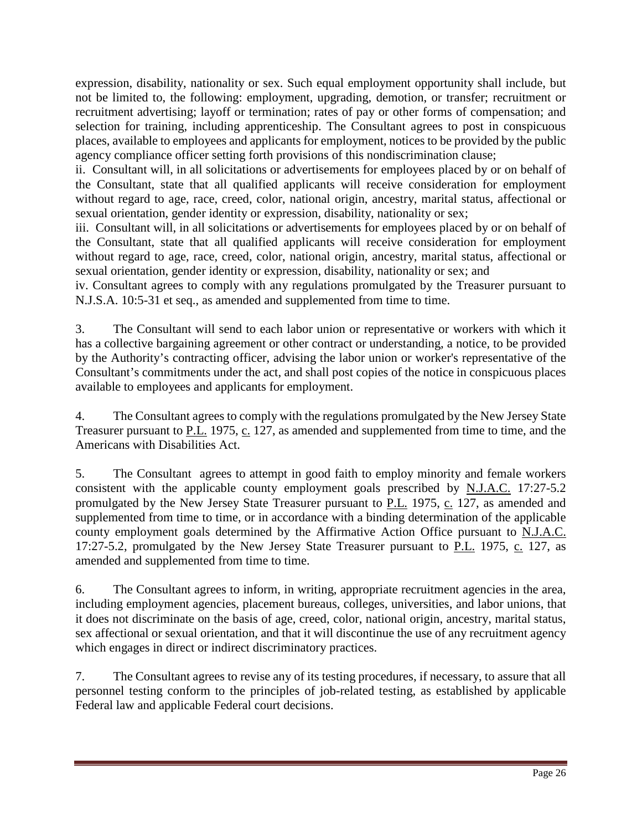expression, disability, nationality or sex. Such equal employment opportunity shall include, but not be limited to, the following: employment, upgrading, demotion, or transfer; recruitment or recruitment advertising; layoff or termination; rates of pay or other forms of compensation; and selection for training, including apprenticeship. The Consultant agrees to post in conspicuous places, available to employees and applicants for employment, notices to be provided by the public agency compliance officer setting forth provisions of this nondiscrimination clause;

ii. Consultant will, in all solicitations or advertisements for employees placed by or on behalf of the Consultant, state that all qualified applicants will receive consideration for employment without regard to age, race, creed, color, national origin, ancestry, marital status, affectional or sexual orientation, gender identity or expression, disability, nationality or sex;

iii. Consultant will, in all solicitations or advertisements for employees placed by or on behalf of the Consultant, state that all qualified applicants will receive consideration for employment without regard to age, race, creed, color, national origin, ancestry, marital status, affectional or sexual orientation, gender identity or expression, disability, nationality or sex; and

iv. Consultant agrees to comply with any regulations promulgated by the Treasurer pursuant to N.J.S.A. 10:5-31 et seq., as amended and supplemented from time to time.

3. The Consultant will send to each labor union or representative or workers with which it has a collective bargaining agreement or other contract or understanding, a notice, to be provided by the Authority's contracting officer, advising the labor union or worker's representative of the Consultant's commitments under the act, and shall post copies of the notice in conspicuous places available to employees and applicants for employment.

4. The Consultant agrees to comply with the regulations promulgated by the New Jersey State Treasurer pursuant to P.L. 1975, c. 127, as amended and supplemented from time to time, and the Americans with Disabilities Act.

5. The Consultant agrees to attempt in good faith to employ minority and female workers consistent with the applicable county employment goals prescribed by N.J.A.C. 17:27-5.2 promulgated by the New Jersey State Treasurer pursuant to P.L. 1975, c. 127, as amended and supplemented from time to time, or in accordance with a binding determination of the applicable county employment goals determined by the Affirmative Action Office pursuant to N.J.A.C. 17:27-5.2, promulgated by the New Jersey State Treasurer pursuant to P.L. 1975, c. 127, as amended and supplemented from time to time.

6. The Consultant agrees to inform, in writing, appropriate recruitment agencies in the area, including employment agencies, placement bureaus, colleges, universities, and labor unions, that it does not discriminate on the basis of age, creed, color, national origin, ancestry, marital status, sex affectional or sexual orientation, and that it will discontinue the use of any recruitment agency which engages in direct or indirect discriminatory practices.

7. The Consultant agrees to revise any of its testing procedures, if necessary, to assure that all personnel testing conform to the principles of job-related testing, as established by applicable Federal law and applicable Federal court decisions.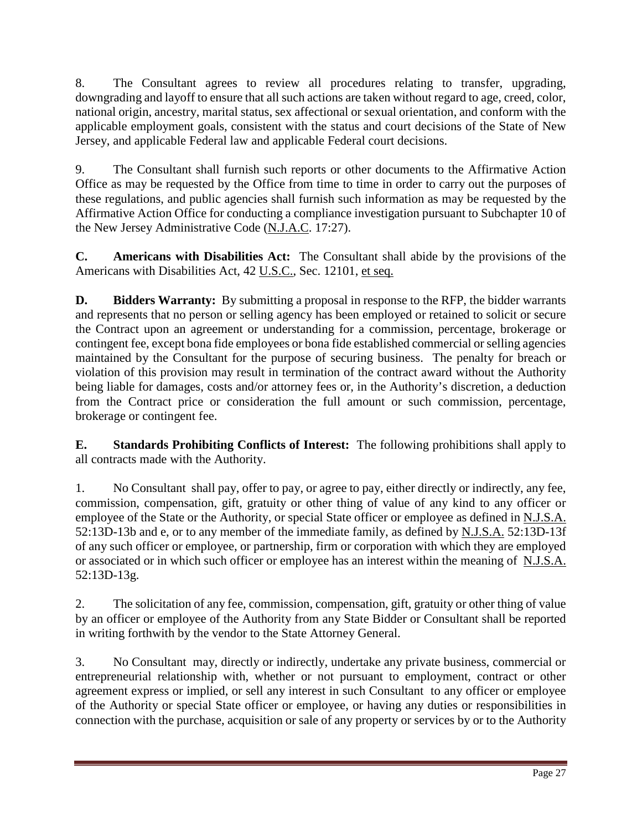8. The Consultant agrees to review all procedures relating to transfer, upgrading, downgrading and layoff to ensure that all such actions are taken without regard to age, creed, color, national origin, ancestry, marital status, sex affectional or sexual orientation, and conform with the applicable employment goals, consistent with the status and court decisions of the State of New Jersey, and applicable Federal law and applicable Federal court decisions.

9. The Consultant shall furnish such reports or other documents to the Affirmative Action Office as may be requested by the Office from time to time in order to carry out the purposes of these regulations, and public agencies shall furnish such information as may be requested by the Affirmative Action Office for conducting a compliance investigation pursuant to Subchapter 10 of the New Jersey Administrative Code (N.J.A.C. 17:27).

**C. Americans with Disabilities Act:** The Consultant shall abide by the provisions of the Americans with Disabilities Act, 42 U.S.C., Sec. 12101, et seq.

**D. Bidders Warranty:** By submitting a proposal in response to the RFP, the bidder warrants and represents that no person or selling agency has been employed or retained to solicit or secure the Contract upon an agreement or understanding for a commission, percentage, brokerage or contingent fee, except bona fide employees or bona fide established commercial or selling agencies maintained by the Consultant for the purpose of securing business. The penalty for breach or violation of this provision may result in termination of the contract award without the Authority being liable for damages, costs and/or attorney fees or, in the Authority's discretion, a deduction from the Contract price or consideration the full amount or such commission, percentage, brokerage or contingent fee.

**E. Standards Prohibiting Conflicts of Interest:** The following prohibitions shall apply to all contracts made with the Authority.

1. No Consultant shall pay, offer to pay, or agree to pay, either directly or indirectly, any fee, commission, compensation, gift, gratuity or other thing of value of any kind to any officer or employee of the State or the Authority, or special State officer or employee as defined in N.J.S.A. 52:13D-13b and e, or to any member of the immediate family, as defined by N.J.S.A. 52:13D-13f of any such officer or employee, or partnership, firm or corporation with which they are employed or associated or in which such officer or employee has an interest within the meaning of N.J.S.A. 52:13D-13g.

2. The solicitation of any fee, commission, compensation, gift, gratuity or other thing of value by an officer or employee of the Authority from any State Bidder or Consultant shall be reported in writing forthwith by the vendor to the State Attorney General.

3. No Consultant may, directly or indirectly, undertake any private business, commercial or entrepreneurial relationship with, whether or not pursuant to employment, contract or other agreement express or implied, or sell any interest in such Consultant to any officer or employee of the Authority or special State officer or employee, or having any duties or responsibilities in connection with the purchase, acquisition or sale of any property or services by or to the Authority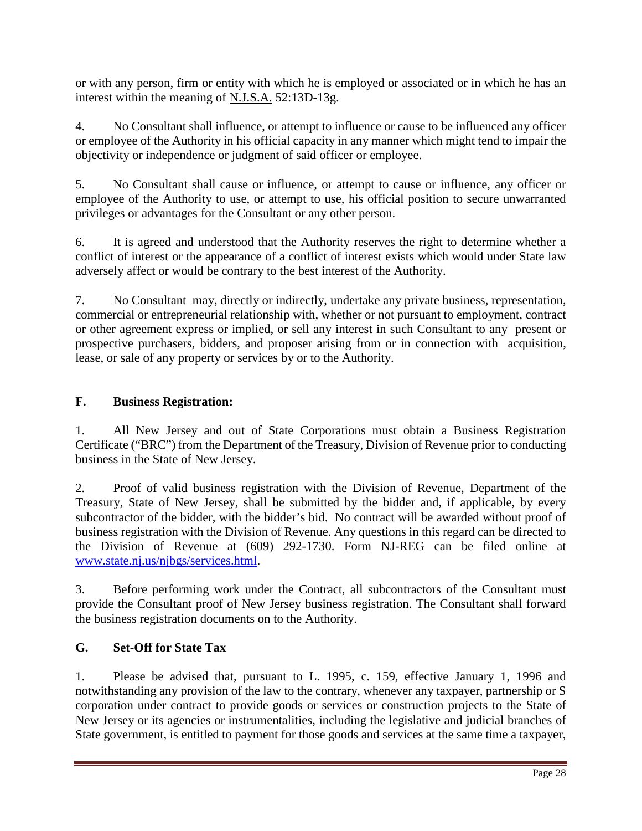or with any person, firm or entity with which he is employed or associated or in which he has an interest within the meaning of N.J.S.A. 52:13D-13g.

4. No Consultant shall influence, or attempt to influence or cause to be influenced any officer or employee of the Authority in his official capacity in any manner which might tend to impair the objectivity or independence or judgment of said officer or employee.

5. No Consultant shall cause or influence, or attempt to cause or influence, any officer or employee of the Authority to use, or attempt to use, his official position to secure unwarranted privileges or advantages for the Consultant or any other person.

6. It is agreed and understood that the Authority reserves the right to determine whether a conflict of interest or the appearance of a conflict of interest exists which would under State law adversely affect or would be contrary to the best interest of the Authority.

7. No Consultant may, directly or indirectly, undertake any private business, representation, commercial or entrepreneurial relationship with, whether or not pursuant to employment, contract or other agreement express or implied, or sell any interest in such Consultant to any present or prospective purchasers, bidders, and proposer arising from or in connection with acquisition, lease, or sale of any property or services by or to the Authority.

# **F. Business Registration:**

1. All New Jersey and out of State Corporations must obtain a Business Registration Certificate ("BRC") from the Department of the Treasury, Division of Revenue prior to conducting business in the State of New Jersey.

2. Proof of valid business registration with the Division of Revenue, Department of the Treasury, State of New Jersey, shall be submitted by the bidder and, if applicable, by every subcontractor of the bidder, with the bidder's bid. No contract will be awarded without proof of business registration with the Division of Revenue. Any questions in this regard can be directed to the Division of Revenue at (609) 292-1730. Form NJ-REG can be filed online at [www.state.nj.us/njbgs/services.html.](http://www.state.nj.us/njbgs/services.html)

3. Before performing work under the Contract, all subcontractors of the Consultant must provide the Consultant proof of New Jersey business registration. The Consultant shall forward the business registration documents on to the Authority.

# **G. Set-Off for State Tax**

1. Please be advised that, pursuant to L. 1995, c. 159, effective January 1, 1996 and notwithstanding any provision of the law to the contrary, whenever any taxpayer, partnership or S corporation under contract to provide goods or services or construction projects to the State of New Jersey or its agencies or instrumentalities, including the legislative and judicial branches of State government, is entitled to payment for those goods and services at the same time a taxpayer,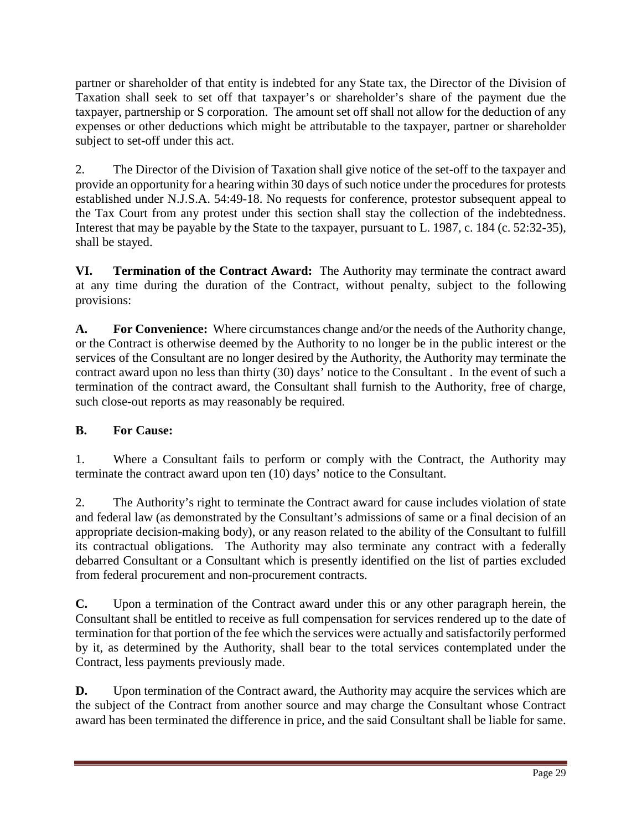partner or shareholder of that entity is indebted for any State tax, the Director of the Division of Taxation shall seek to set off that taxpayer's or shareholder's share of the payment due the taxpayer, partnership or S corporation. The amount set off shall not allow for the deduction of any expenses or other deductions which might be attributable to the taxpayer, partner or shareholder subject to set-off under this act.

2. The Director of the Division of Taxation shall give notice of the set-off to the taxpayer and provide an opportunity for a hearing within 30 days of such notice under the procedures for protests established under N.J.S.A. 54:49-18. No requests for conference, protestor subsequent appeal to the Tax Court from any protest under this section shall stay the collection of the indebtedness. Interest that may be payable by the State to the taxpayer, pursuant to L. 1987, c. 184 (c. 52:32-35), shall be stayed.

**VI. Termination of the Contract Award:** The Authority may terminate the contract award at any time during the duration of the Contract, without penalty, subject to the following provisions:

**A. For Convenience:** Where circumstances change and/or the needs of the Authority change, or the Contract is otherwise deemed by the Authority to no longer be in the public interest or the services of the Consultant are no longer desired by the Authority, the Authority may terminate the contract award upon no less than thirty (30) days' notice to the Consultant . In the event of such a termination of the contract award, the Consultant shall furnish to the Authority, free of charge, such close-out reports as may reasonably be required.

# **B. For Cause:**

1. Where a Consultant fails to perform or comply with the Contract, the Authority may terminate the contract award upon ten (10) days' notice to the Consultant.

2. The Authority's right to terminate the Contract award for cause includes violation of state and federal law (as demonstrated by the Consultant's admissions of same or a final decision of an appropriate decision-making body), or any reason related to the ability of the Consultant to fulfill its contractual obligations. The Authority may also terminate any contract with a federally debarred Consultant or a Consultant which is presently identified on the list of parties excluded from federal procurement and non-procurement contracts.

**C.** Upon a termination of the Contract award under this or any other paragraph herein, the Consultant shall be entitled to receive as full compensation for services rendered up to the date of termination for that portion of the fee which the services were actually and satisfactorily performed by it, as determined by the Authority, shall bear to the total services contemplated under the Contract, less payments previously made.

**D.** Upon termination of the Contract award, the Authority may acquire the services which are the subject of the Contract from another source and may charge the Consultant whose Contract award has been terminated the difference in price, and the said Consultant shall be liable for same.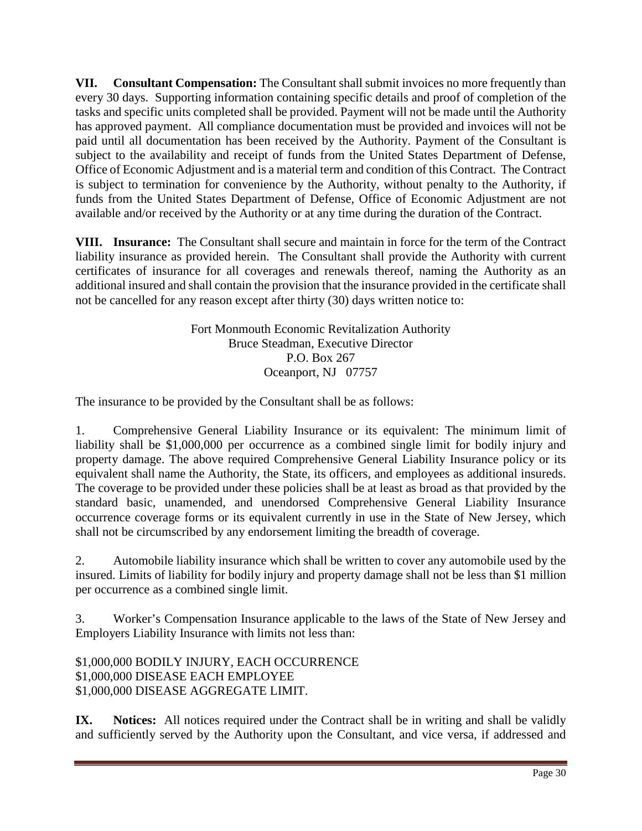**VII. Consultant Compensation:** The Consultant shall submit invoices no more frequently than every 30 days. Supporting information containing specific details and proof of completion of the tasks and specific units completed shall be provided. Payment will not be made until the Authority has approved payment. All compliance documentation must be provided and invoices will not be paid until all documentation has been received by the Authority. Payment of the Consultant is subject to the availability and receipt of funds from the United States Department of Defense, Office of Economic Adjustment and is a material term and condition of this Contract. The Contract is subject to termination for convenience by the Authority, without penalty to the Authority, if funds from the United States Department of Defense, Office of Economic Adjustment are not available and/or received by the Authority or at any time during the duration of the Contract.

**VIII. Insurance:** The Consultant shall secure and maintain in force for the term of the Contract liability insurance as provided herein. The Consultant shall provide the Authority with current certificates of insurance for all coverages and renewals thereof, naming the Authority as an additional insured and shall contain the provision that the insurance provided in the certificate shall not be cancelled for any reason except after thirty (30) days written notice to:

> Fort Monmouth Economic Revitalization Authority Bruce Steadman, Executive Director P.O. Box 267 Oceanport, NJ 07757

The insurance to be provided by the Consultant shall be as follows:

1. Comprehensive General Liability Insurance or its equivalent: The minimum limit of liability shall be \$1,000,000 per occurrence as a combined single limit for bodily injury and property damage. The above required Comprehensive General Liability Insurance policy or its equivalent shall name the Authority, the State, its officers, and employees as additional insureds. The coverage to be provided under these policies shall be at least as broad as that provided by the standard basic, unamended, and unendorsed Comprehensive General Liability Insurance occurrence coverage forms or its equivalent currently in use in the State of New Jersey, which shall not be circumscribed by any endorsement limiting the breadth of coverage.

2. Automobile liability insurance which shall be written to cover any automobile used by the insured. Limits of liability for bodily injury and property damage shall not be less than \$1 million per occurrence as a combined single limit.

3. Worker's Compensation Insurance applicable to the laws of the State of New Jersey and Employers Liability Insurance with limits not less than:

\$1,000,000 BODILY INJURY, EACH OCCURRENCE \$1,000,000 DISEASE EACH EMPLOYEE \$1,000,000 DISEASE AGGREGATE LIMIT.

**IX.** Notices: All notices required under the Contract shall be in writing and shall be validly and sufficiently served by the Authority upon the Consultant, and vice versa, if addressed and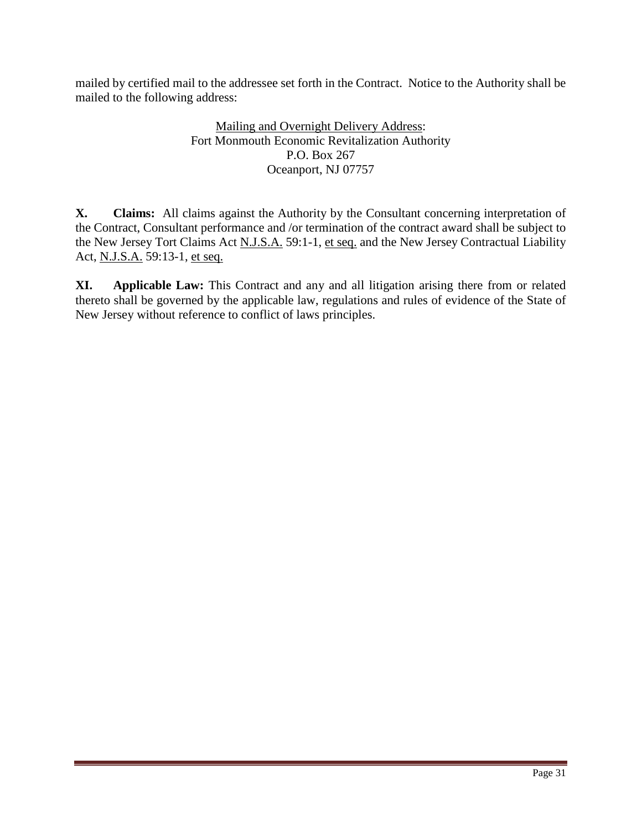mailed by certified mail to the addressee set forth in the Contract. Notice to the Authority shall be mailed to the following address:

# Mailing and Overnight Delivery Address: Fort Monmouth Economic Revitalization Authority P.O. Box 267 Oceanport, NJ 07757

**X. Claims:** All claims against the Authority by the Consultant concerning interpretation of the Contract, Consultant performance and /or termination of the contract award shall be subject to the New Jersey Tort Claims Act N.J.S.A. 59:1-1, et seq. and the New Jersey Contractual Liability Act, N.J.S.A. 59:13-1, et seq.

**XI. Applicable Law:** This Contract and any and all litigation arising there from or related thereto shall be governed by the applicable law, regulations and rules of evidence of the State of New Jersey without reference to conflict of laws principles.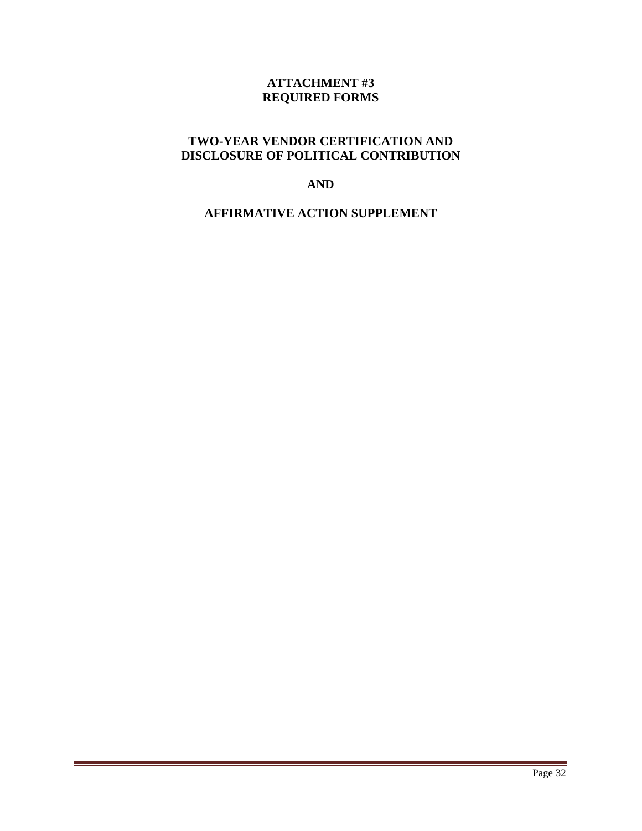# **ATTACHMENT #3 REQUIRED FORMS**

# **TWO-YEAR VENDOR CERTIFICATION AND DISCLOSURE OF POLITICAL CONTRIBUTION**

#### **AND**

# **AFFIRMATIVE ACTION SUPPLEMENT**